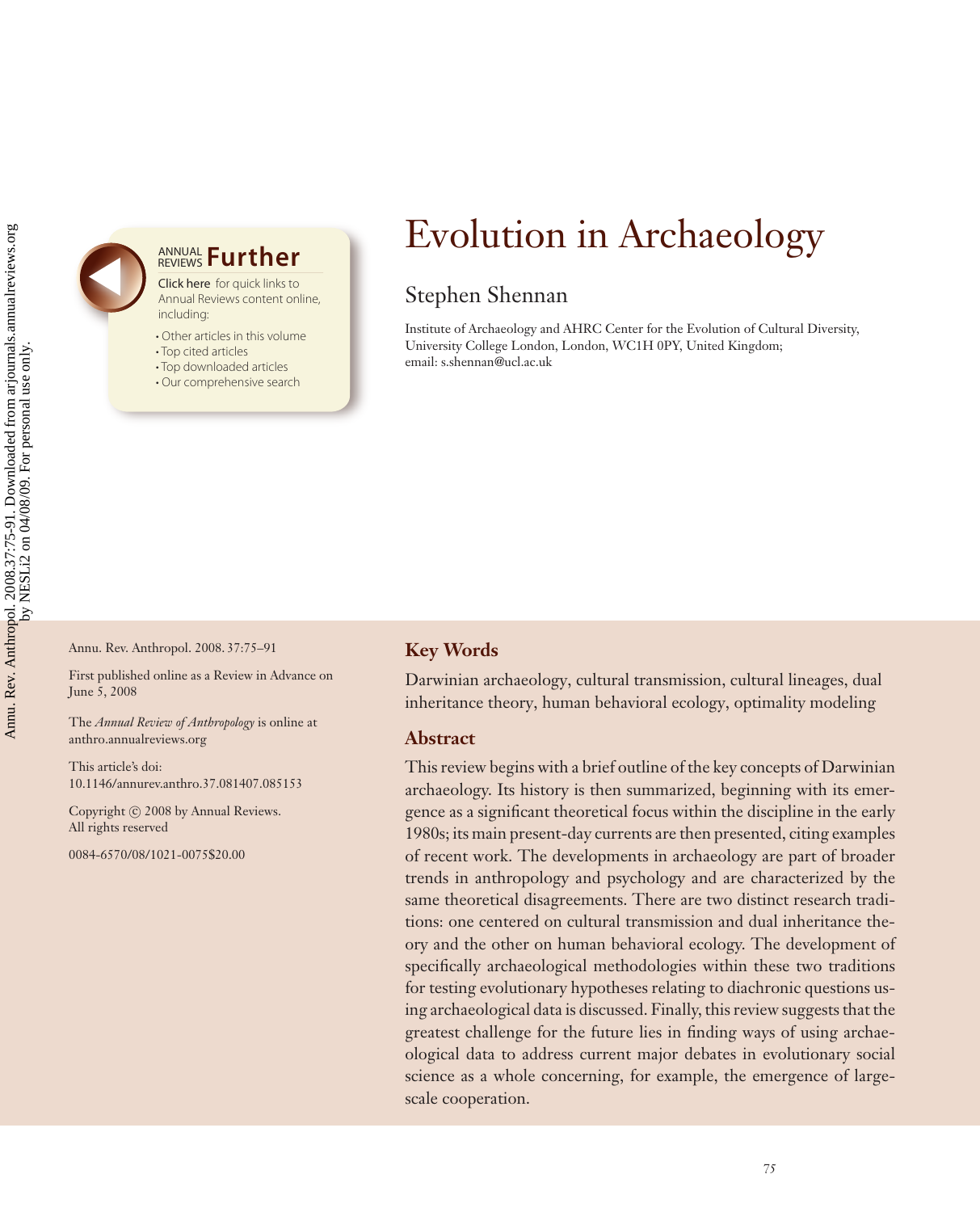Annu.

**ANNUAL Further** 

Click here for quick links to Annual Reviews content online, including:

• Other articles in this volume

• Top cited articles

• Top downloaded articles

• Our comprehensive search

## Evolution in Archaeology

#### Stephen Shennan

Institute of Archaeology and AHRC Center for the Evolution of Cultural Diversity, University College London, London, WC1H 0PY, United Kingdom; email: s.shennan@ucl.ac.uk

Annu. Rev. Anthropol. 2008. 37:75–91

First published online as a Review in Advance on June 5, 2008

The *Annual Review of Anthropology* is online at anthro.annualreviews.org

This article's doi: 10.1146/annurev.anthro.37.081407.085153

Copyright © 2008 by Annual Reviews. All rights reserved

0084-6570/08/1021-0075\$20.00

#### **Key Words**

Darwinian archaeology, cultural transmission, cultural lineages, dual inheritance theory, human behavioral ecology, optimality modeling

#### **Abstract**

This review begins with a brief outline of the key concepts of Darwinian archaeology. Its history is then summarized, beginning with its emergence as a significant theoretical focus within the discipline in the early 1980s; its main present-day currents are then presented, citing examples of recent work. The developments in archaeology are part of broader trends in anthropology and psychology and are characterized by the same theoretical disagreements. There are two distinct research traditions: one centered on cultural transmission and dual inheritance theory and the other on human behavioral ecology. The development of specifically archaeological methodologies within these two traditions for testing evolutionary hypotheses relating to diachronic questions using archaeological data is discussed. Finally, this review suggests that the greatest challenge for the future lies in finding ways of using archaeological data to address current major debates in evolutionary social science as a whole concerning, for example, the emergence of largescale cooperation.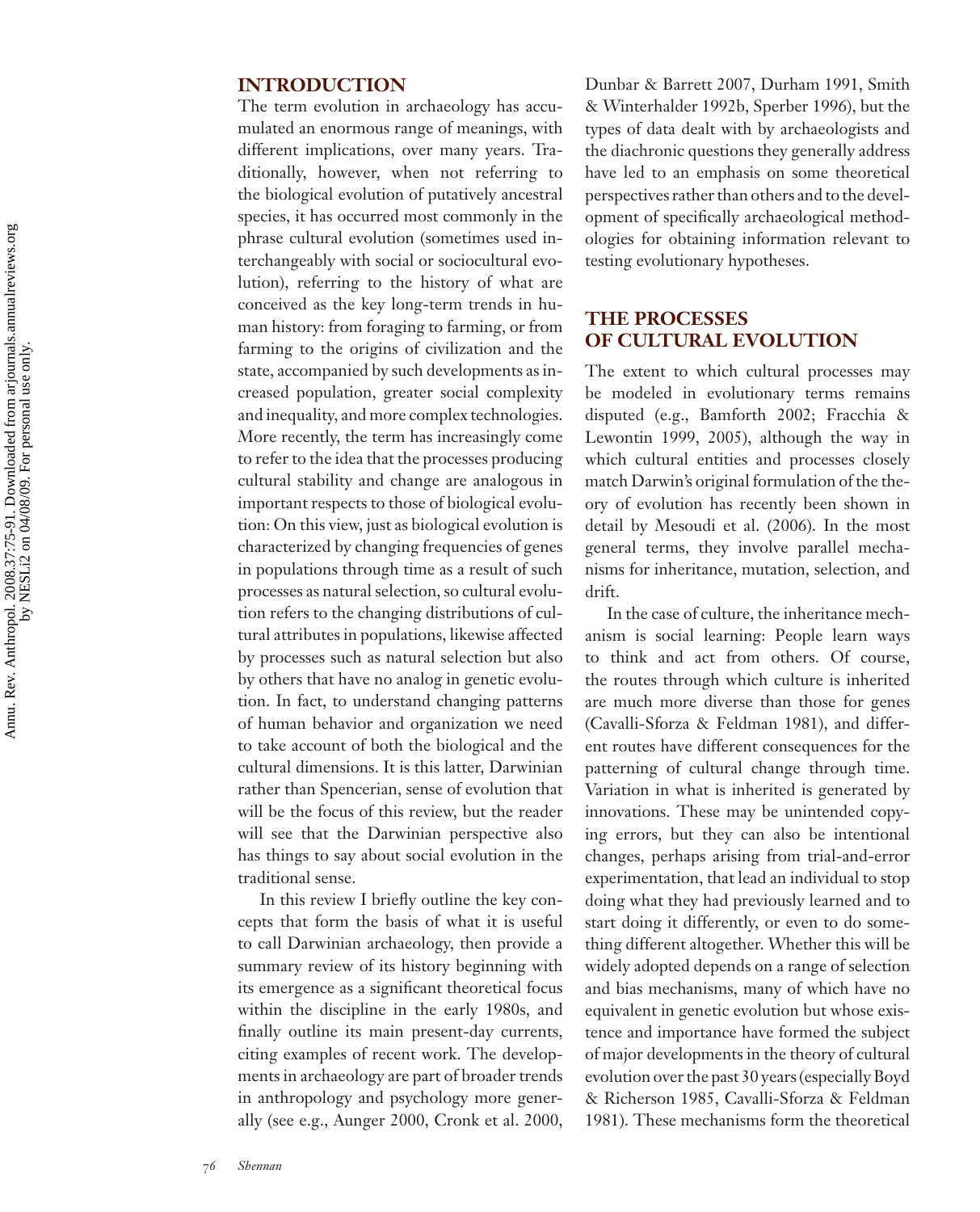#### **INTRODUCTION**

The term evolution in archaeology has accumulated an enormous range of meanings, with different implications, over many years. Traditionally, however, when not referring to the biological evolution of putatively ancestral species, it has occurred most commonly in the phrase cultural evolution (sometimes used interchangeably with social or sociocultural evolution), referring to the history of what are conceived as the key long-term trends in human history: from foraging to farming, or from farming to the origins of civilization and the state, accompanied by such developments as increased population, greater social complexity and inequality, and more complex technologies. More recently, the term has increasingly come to refer to the idea that the processes producing cultural stability and change are analogous in important respects to those of biological evolution: On this view, just as biological evolution is characterized by changing frequencies of genes in populations through time as a result of such processes as natural selection, so cultural evolution refers to the changing distributions of cultural attributes in populations, likewise affected by processes such as natural selection but also by others that have no analog in genetic evolution. In fact, to understand changing patterns of human behavior and organization we need to take account of both the biological and the cultural dimensions. It is this latter, Darwinian rather than Spencerian, sense of evolution that will be the focus of this review, but the reader will see that the Darwinian perspective also has things to say about social evolution in the traditional sense.

In this review I briefly outline the key concepts that form the basis of what it is useful to call Darwinian archaeology, then provide a summary review of its history beginning with its emergence as a significant theoretical focus within the discipline in the early 1980s, and finally outline its main present-day currents, citing examples of recent work. The developments in archaeology are part of broader trends in anthropology and psychology more generally (see e.g., Aunger 2000, Cronk et al. 2000,

Dunbar & Barrett 2007, Durham 1991, Smith & Winterhalder 1992b, Sperber 1996), but the types of data dealt with by archaeologists and the diachronic questions they generally address have led to an emphasis on some theoretical perspectives rather than others and to the development of specifically archaeological methodologies for obtaining information relevant to testing evolutionary hypotheses.

#### **THE PROCESSES OF CULTURAL EVOLUTION**

The extent to which cultural processes may be modeled in evolutionary terms remains disputed (e.g., Bamforth 2002; Fracchia & Lewontin 1999, 2005), although the way in which cultural entities and processes closely match Darwin's original formulation of the theory of evolution has recently been shown in detail by Mesoudi et al. (2006). In the most general terms, they involve parallel mechanisms for inheritance, mutation, selection, and drift.

In the case of culture, the inheritance mechanism is social learning: People learn ways to think and act from others. Of course, the routes through which culture is inherited are much more diverse than those for genes (Cavalli-Sforza & Feldman 1981), and different routes have different consequences for the patterning of cultural change through time. Variation in what is inherited is generated by innovations. These may be unintended copying errors, but they can also be intentional changes, perhaps arising from trial-and-error experimentation, that lead an individual to stop doing what they had previously learned and to start doing it differently, or even to do something different altogether. Whether this will be widely adopted depends on a range of selection and bias mechanisms, many of which have no equivalent in genetic evolution but whose existence and importance have formed the subject of major developments in the theory of cultural evolution over the past 30 years (especially Boyd & Richerson 1985, Cavalli-Sforza & Feldman 1981). These mechanisms form the theoretical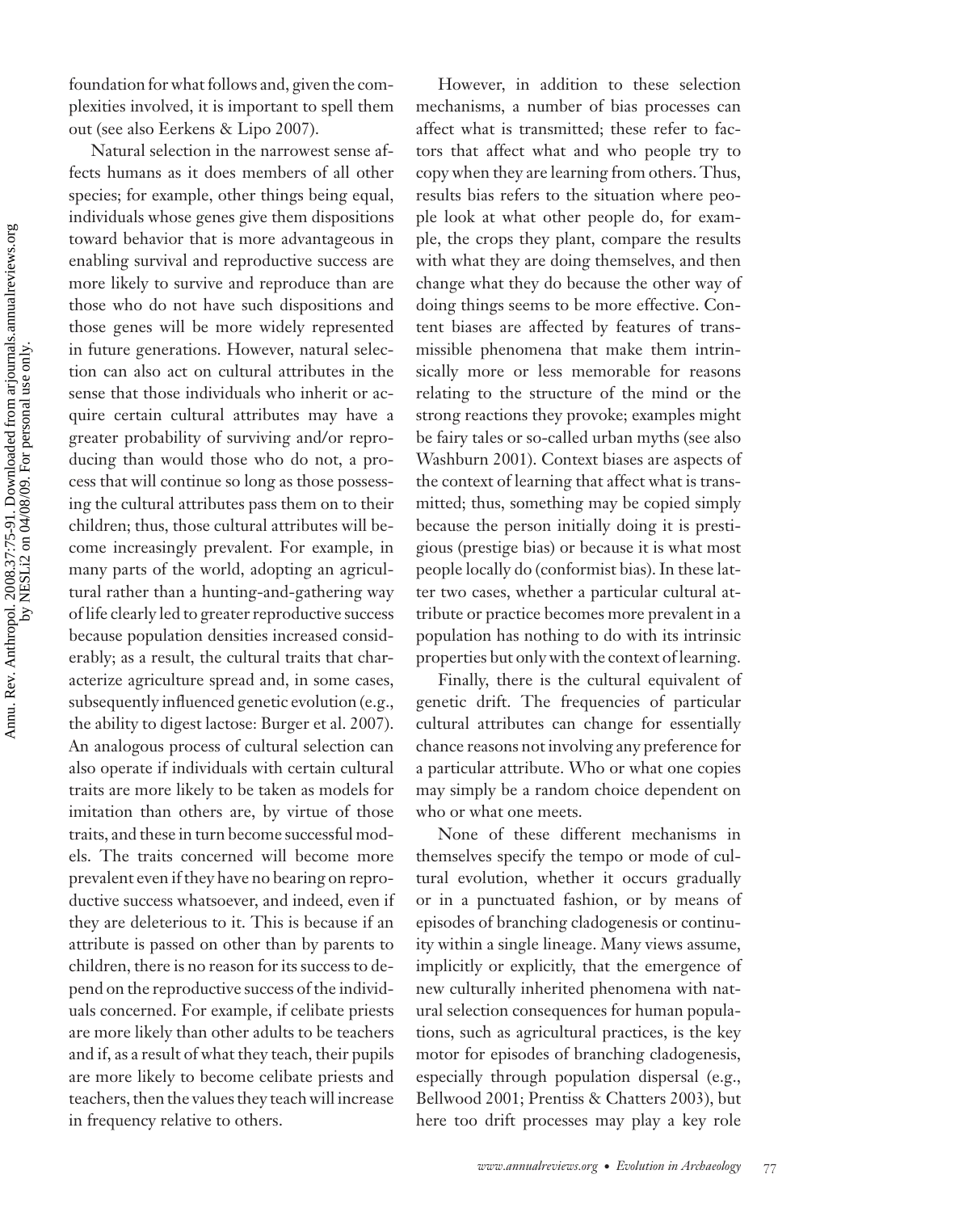foundation for what follows and, given the complexities involved, it is important to spell them out (see also Eerkens & Lipo 2007).

Natural selection in the narrowest sense affects humans as it does members of all other species; for example, other things being equal, individuals whose genes give them dispositions toward behavior that is more advantageous in enabling survival and reproductive success are more likely to survive and reproduce than are those who do not have such dispositions and those genes will be more widely represented in future generations. However, natural selection can also act on cultural attributes in the sense that those individuals who inherit or acquire certain cultural attributes may have a greater probability of surviving and/or reproducing than would those who do not, a process that will continue so long as those possessing the cultural attributes pass them on to their children; thus, those cultural attributes will become increasingly prevalent. For example, in many parts of the world, adopting an agricultural rather than a hunting-and-gathering way of life clearly led to greater reproductive success because population densities increased considerably; as a result, the cultural traits that characterize agriculture spread and, in some cases, subsequently influenced genetic evolution (e.g., the ability to digest lactose: Burger et al. 2007). An analogous process of cultural selection can also operate if individuals with certain cultural traits are more likely to be taken as models for imitation than others are, by virtue of those traits, and these in turn become successful models. The traits concerned will become more prevalent even if they have no bearing on reproductive success whatsoever, and indeed, even if they are deleterious to it. This is because if an attribute is passed on other than by parents to children, there is no reason for its success to depend on the reproductive success of the individuals concerned. For example, if celibate priests are more likely than other adults to be teachers and if, as a result of what they teach, their pupils are more likely to become celibate priests and teachers, then the values they teach will increase in frequency relative to others.

However, in addition to these selection mechanisms, a number of bias processes can affect what is transmitted; these refer to factors that affect what and who people try to copy when they are learning from others. Thus, results bias refers to the situation where people look at what other people do, for example, the crops they plant, compare the results with what they are doing themselves, and then change what they do because the other way of doing things seems to be more effective. Content biases are affected by features of transmissible phenomena that make them intrinsically more or less memorable for reasons relating to the structure of the mind or the strong reactions they provoke; examples might be fairy tales or so-called urban myths (see also Washburn 2001). Context biases are aspects of the context of learning that affect what is transmitted; thus, something may be copied simply because the person initially doing it is prestigious (prestige bias) or because it is what most people locally do (conformist bias). In these latter two cases, whether a particular cultural attribute or practice becomes more prevalent in a population has nothing to do with its intrinsic properties but only with the context of learning.

Finally, there is the cultural equivalent of genetic drift. The frequencies of particular cultural attributes can change for essentially chance reasons not involving any preference for a particular attribute. Who or what one copies may simply be a random choice dependent on who or what one meets.

None of these different mechanisms in themselves specify the tempo or mode of cultural evolution, whether it occurs gradually or in a punctuated fashion, or by means of episodes of branching cladogenesis or continuity within a single lineage. Many views assume, implicitly or explicitly, that the emergence of new culturally inherited phenomena with natural selection consequences for human populations, such as agricultural practices, is the key motor for episodes of branching cladogenesis, especially through population dispersal (e.g., Bellwood 2001; Prentiss & Chatters 2003), but here too drift processes may play a key role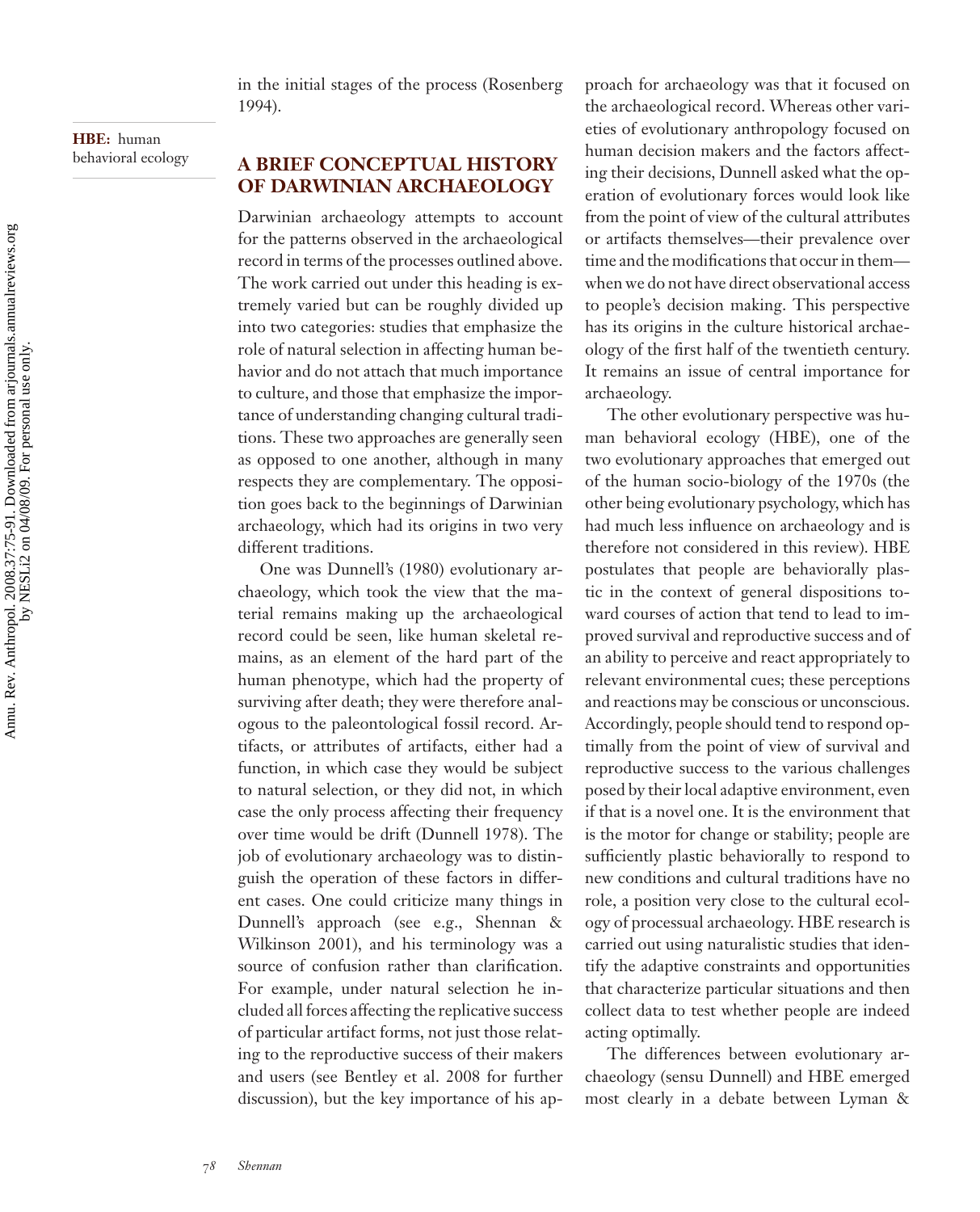in the initial stages of the process (Rosenberg 1994).

**HBE:** human behavioral ecology

#### **A BRIEF CONCEPTUAL HISTORY OF DARWINIAN ARCHAEOLOGY**

Darwinian archaeology attempts to account for the patterns observed in the archaeological record in terms of the processes outlined above. The work carried out under this heading is extremely varied but can be roughly divided up into two categories: studies that emphasize the role of natural selection in affecting human behavior and do not attach that much importance to culture, and those that emphasize the importance of understanding changing cultural traditions. These two approaches are generally seen as opposed to one another, although in many respects they are complementary. The opposition goes back to the beginnings of Darwinian archaeology, which had its origins in two very different traditions.

One was Dunnell's (1980) evolutionary archaeology, which took the view that the material remains making up the archaeological record could be seen, like human skeletal remains, as an element of the hard part of the human phenotype, which had the property of surviving after death; they were therefore analogous to the paleontological fossil record. Artifacts, or attributes of artifacts, either had a function, in which case they would be subject to natural selection, or they did not, in which case the only process affecting their frequency over time would be drift (Dunnell 1978). The job of evolutionary archaeology was to distinguish the operation of these factors in different cases. One could criticize many things in Dunnell's approach (see e.g., Shennan & Wilkinson 2001), and his terminology was a source of confusion rather than clarification. For example, under natural selection he included all forces affecting the replicative success of particular artifact forms, not just those relating to the reproductive success of their makers and users (see Bentley et al. 2008 for further discussion), but the key importance of his approach for archaeology was that it focused on the archaeological record. Whereas other varieties of evolutionary anthropology focused on human decision makers and the factors affecting their decisions, Dunnell asked what the operation of evolutionary forces would look like from the point of view of the cultural attributes or artifacts themselves—their prevalence over time and the modifications that occur in them when we do not have direct observational access to people's decision making. This perspective has its origins in the culture historical archaeology of the first half of the twentieth century. It remains an issue of central importance for archaeology.

The other evolutionary perspective was human behavioral ecology (HBE), one of the two evolutionary approaches that emerged out of the human socio-biology of the 1970s (the other being evolutionary psychology, which has had much less influence on archaeology and is therefore not considered in this review). HBE postulates that people are behaviorally plastic in the context of general dispositions toward courses of action that tend to lead to improved survival and reproductive success and of an ability to perceive and react appropriately to relevant environmental cues; these perceptions and reactions may be conscious or unconscious. Accordingly, people should tend to respond optimally from the point of view of survival and reproductive success to the various challenges posed by their local adaptive environment, even if that is a novel one. It is the environment that is the motor for change or stability; people are sufficiently plastic behaviorally to respond to new conditions and cultural traditions have no role, a position very close to the cultural ecology of processual archaeology. HBE research is carried out using naturalistic studies that identify the adaptive constraints and opportunities that characterize particular situations and then collect data to test whether people are indeed acting optimally.

The differences between evolutionary archaeology (sensu Dunnell) and HBE emerged most clearly in a debate between Lyman &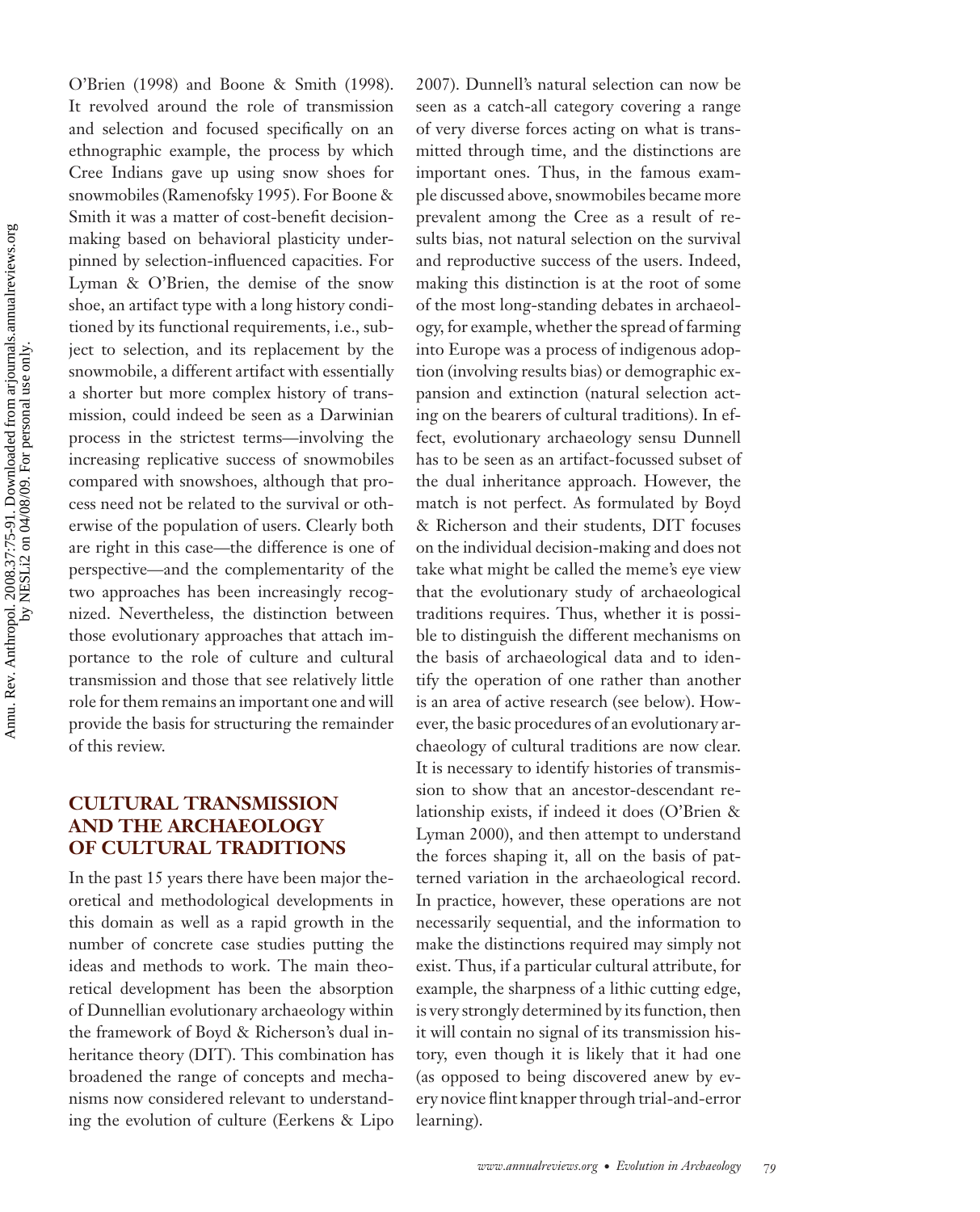O'Brien (1998) and Boone & Smith (1998). It revolved around the role of transmission and selection and focused specifically on an ethnographic example, the process by which Cree Indians gave up using snow shoes for snowmobiles (Ramenofsky 1995). For Boone & Smith it was a matter of cost-benefit decisionmaking based on behavioral plasticity underpinned by selection-influenced capacities. For Lyman & O'Brien, the demise of the snow shoe, an artifact type with a long history conditioned by its functional requirements, i.e., subject to selection, and its replacement by the snowmobile, a different artifact with essentially a shorter but more complex history of transmission, could indeed be seen as a Darwinian process in the strictest terms—involving the increasing replicative success of snowmobiles compared with snowshoes, although that process need not be related to the survival or otherwise of the population of users. Clearly both are right in this case—the difference is one of perspective—and the complementarity of the two approaches has been increasingly recognized. Nevertheless, the distinction between those evolutionary approaches that attach importance to the role of culture and cultural transmission and those that see relatively little role for them remains an important one and will provide the basis for structuring the remainder of this review.

#### **CULTURAL TRANSMISSION AND THE ARCHAEOLOGY OF CULTURAL TRADITIONS**

In the past 15 years there have been major theoretical and methodological developments in this domain as well as a rapid growth in the number of concrete case studies putting the ideas and methods to work. The main theoretical development has been the absorption of Dunnellian evolutionary archaeology within the framework of Boyd & Richerson's dual inheritance theory (DIT). This combination has broadened the range of concepts and mechanisms now considered relevant to understanding the evolution of culture (Eerkens & Lipo

2007). Dunnell's natural selection can now be seen as a catch-all category covering a range of very diverse forces acting on what is transmitted through time, and the distinctions are important ones. Thus, in the famous example discussed above, snowmobiles became more prevalent among the Cree as a result of results bias, not natural selection on the survival and reproductive success of the users. Indeed, making this distinction is at the root of some of the most long-standing debates in archaeology, for example, whether the spread of farming into Europe was a process of indigenous adoption (involving results bias) or demographic expansion and extinction (natural selection acting on the bearers of cultural traditions). In effect, evolutionary archaeology sensu Dunnell has to be seen as an artifact-focussed subset of the dual inheritance approach. However, the match is not perfect. As formulated by Boyd & Richerson and their students, DIT focuses on the individual decision-making and does not take what might be called the meme's eye view that the evolutionary study of archaeological traditions requires. Thus, whether it is possible to distinguish the different mechanisms on the basis of archaeological data and to identify the operation of one rather than another is an area of active research (see below). However, the basic procedures of an evolutionary archaeology of cultural traditions are now clear. It is necessary to identify histories of transmission to show that an ancestor-descendant relationship exists, if indeed it does (O'Brien & Lyman 2000), and then attempt to understand the forces shaping it, all on the basis of patterned variation in the archaeological record. In practice, however, these operations are not necessarily sequential, and the information to make the distinctions required may simply not exist. Thus, if a particular cultural attribute, for example, the sharpness of a lithic cutting edge, is very strongly determined by its function, then it will contain no signal of its transmission history, even though it is likely that it had one (as opposed to being discovered anew by every novice flint knapper through trial-and-error learning).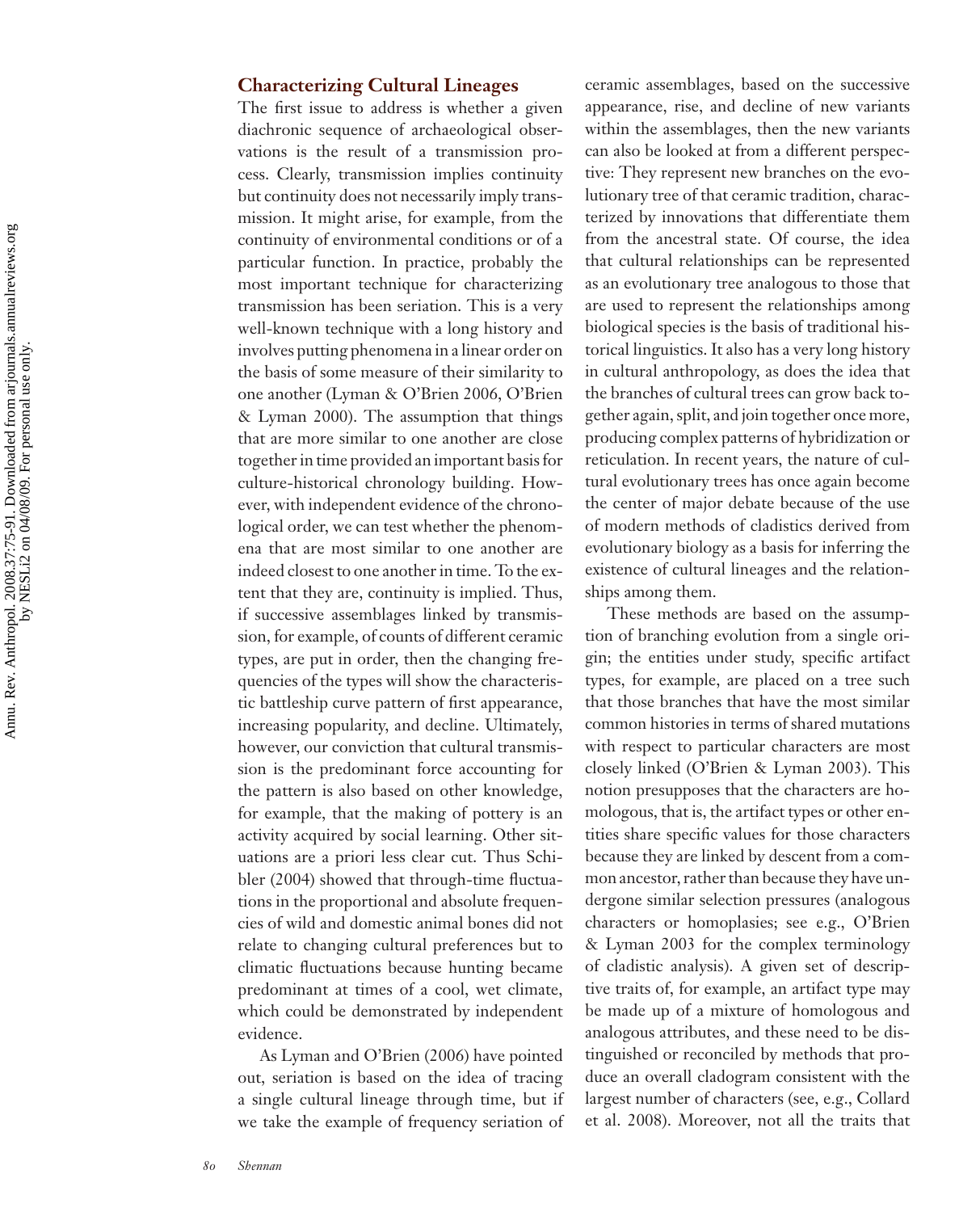#### **Characterizing Cultural Lineages**

The first issue to address is whether a given diachronic sequence of archaeological observations is the result of a transmission process. Clearly, transmission implies continuity but continuity does not necessarily imply transmission. It might arise, for example, from the continuity of environmental conditions or of a particular function. In practice, probably the most important technique for characterizing transmission has been seriation. This is a very well-known technique with a long history and involves putting phenomena in a linear order on the basis of some measure of their similarity to one another (Lyman & O'Brien 2006, O'Brien & Lyman 2000). The assumption that things that are more similar to one another are close together in time provided an important basis for culture-historical chronology building. However, with independent evidence of the chronological order, we can test whether the phenomena that are most similar to one another are indeed closest to one another in time. To the extent that they are, continuity is implied. Thus, if successive assemblages linked by transmission, for example, of counts of different ceramic types, are put in order, then the changing frequencies of the types will show the characteristic battleship curve pattern of first appearance, increasing popularity, and decline. Ultimately, however, our conviction that cultural transmission is the predominant force accounting for the pattern is also based on other knowledge, for example, that the making of pottery is an activity acquired by social learning. Other situations are a priori less clear cut. Thus Schibler (2004) showed that through-time fluctuations in the proportional and absolute frequencies of wild and domestic animal bones did not relate to changing cultural preferences but to climatic fluctuations because hunting became predominant at times of a cool, wet climate, which could be demonstrated by independent evidence.

As Lyman and O'Brien (2006) have pointed out, seriation is based on the idea of tracing a single cultural lineage through time, but if we take the example of frequency seriation of ceramic assemblages, based on the successive appearance, rise, and decline of new variants within the assemblages, then the new variants can also be looked at from a different perspective: They represent new branches on the evolutionary tree of that ceramic tradition, characterized by innovations that differentiate them from the ancestral state. Of course, the idea that cultural relationships can be represented as an evolutionary tree analogous to those that are used to represent the relationships among biological species is the basis of traditional historical linguistics. It also has a very long history in cultural anthropology, as does the idea that the branches of cultural trees can grow back together again, split, and join together once more, producing complex patterns of hybridization or reticulation. In recent years, the nature of cultural evolutionary trees has once again become the center of major debate because of the use of modern methods of cladistics derived from evolutionary biology as a basis for inferring the existence of cultural lineages and the relationships among them.

These methods are based on the assumption of branching evolution from a single origin; the entities under study, specific artifact types, for example, are placed on a tree such that those branches that have the most similar common histories in terms of shared mutations with respect to particular characters are most closely linked (O'Brien & Lyman 2003). This notion presupposes that the characters are homologous, that is, the artifact types or other entities share specific values for those characters because they are linked by descent from a common ancestor, rather than because they have undergone similar selection pressures (analogous characters or homoplasies; see e.g., O'Brien & Lyman 2003 for the complex terminology of cladistic analysis). A given set of descriptive traits of, for example, an artifact type may be made up of a mixture of homologous and analogous attributes, and these need to be distinguished or reconciled by methods that produce an overall cladogram consistent with the largest number of characters (see, e.g., Collard et al. 2008). Moreover, not all the traits that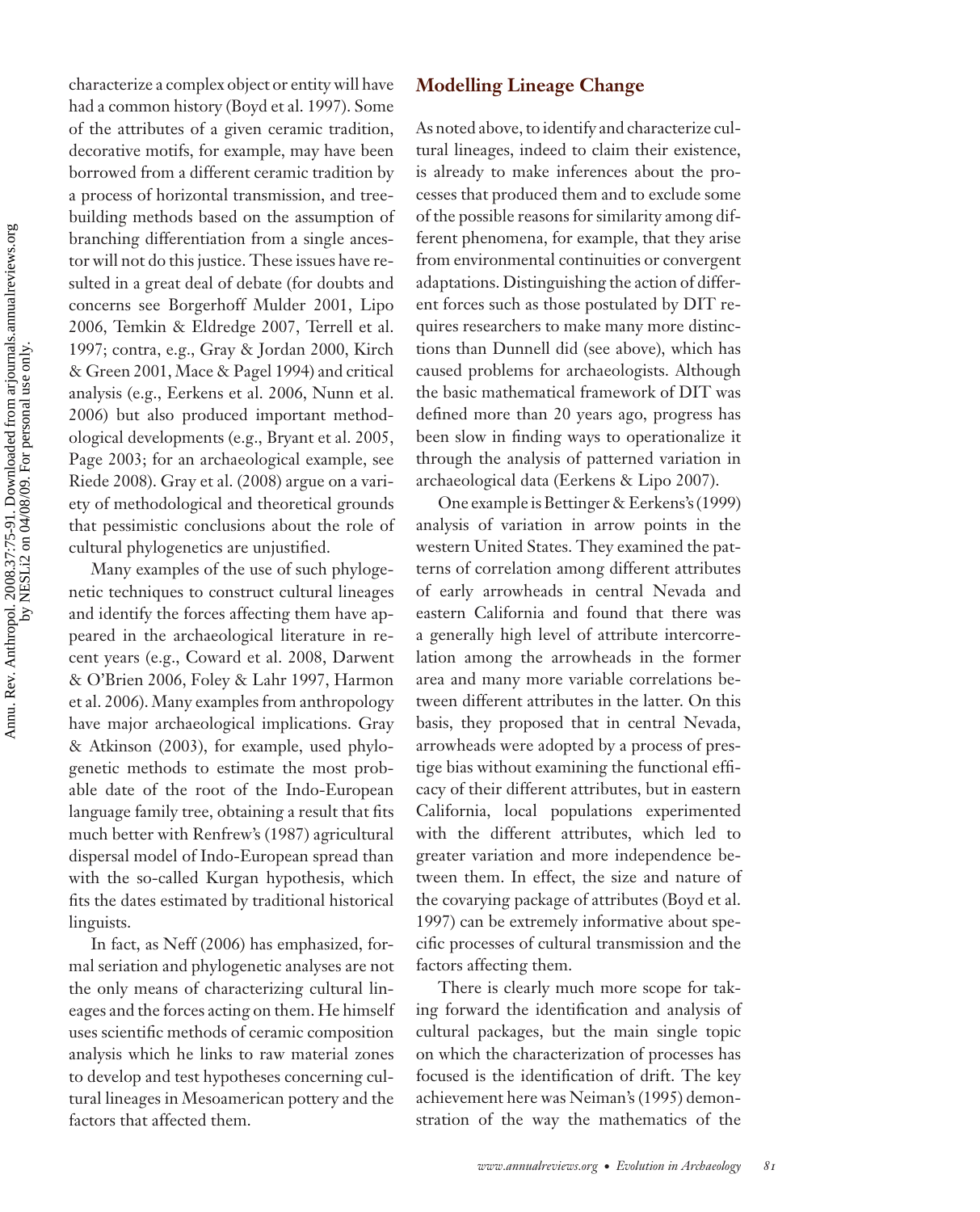characterize a complex object or entity will have had a common history (Boyd et al. 1997). Some of the attributes of a given ceramic tradition, decorative motifs, for example, may have been borrowed from a different ceramic tradition by a process of horizontal transmission, and treebuilding methods based on the assumption of branching differentiation from a single ancestor will not do this justice. These issues have resulted in a great deal of debate (for doubts and concerns see Borgerhoff Mulder 2001, Lipo 2006, Temkin & Eldredge 2007, Terrell et al. 1997; contra, e.g., Gray & Jordan 2000, Kirch & Green 2001, Mace & Pagel 1994) and critical analysis (e.g., Eerkens et al. 2006, Nunn et al. 2006) but also produced important methodological developments (e.g., Bryant et al. 2005, Page 2003; for an archaeological example, see Riede 2008). Gray et al. (2008) argue on a variety of methodological and theoretical grounds that pessimistic conclusions about the role of cultural phylogenetics are unjustified.

Many examples of the use of such phylogenetic techniques to construct cultural lineages and identify the forces affecting them have appeared in the archaeological literature in recent years (e.g., Coward et al. 2008, Darwent & O'Brien 2006, Foley & Lahr 1997, Harmon et al. 2006). Many examples from anthropology have major archaeological implications. Gray & Atkinson (2003), for example, used phylogenetic methods to estimate the most probable date of the root of the Indo-European language family tree, obtaining a result that fits much better with Renfrew's (1987) agricultural dispersal model of Indo-European spread than with the so-called Kurgan hypothesis, which fits the dates estimated by traditional historical linguists.

In fact, as Neff (2006) has emphasized, formal seriation and phylogenetic analyses are not the only means of characterizing cultural lineages and the forces acting on them. He himself uses scientific methods of ceramic composition analysis which he links to raw material zones to develop and test hypotheses concerning cultural lineages in Mesoamerican pottery and the factors that affected them.

#### **Modelling Lineage Change**

As noted above, to identify and characterize cultural lineages, indeed to claim their existence, is already to make inferences about the processes that produced them and to exclude some of the possible reasons for similarity among different phenomena, for example, that they arise from environmental continuities or convergent adaptations. Distinguishing the action of different forces such as those postulated by DIT requires researchers to make many more distinctions than Dunnell did (see above), which has caused problems for archaeologists. Although the basic mathematical framework of DIT was defined more than 20 years ago, progress has been slow in finding ways to operationalize it through the analysis of patterned variation in archaeological data (Eerkens & Lipo 2007).

One example is Bettinger & Eerkens's (1999) analysis of variation in arrow points in the western United States. They examined the patterns of correlation among different attributes of early arrowheads in central Nevada and eastern California and found that there was a generally high level of attribute intercorrelation among the arrowheads in the former area and many more variable correlations between different attributes in the latter. On this basis, they proposed that in central Nevada, arrowheads were adopted by a process of prestige bias without examining the functional efficacy of their different attributes, but in eastern California, local populations experimented with the different attributes, which led to greater variation and more independence between them. In effect, the size and nature of the covarying package of attributes (Boyd et al. 1997) can be extremely informative about specific processes of cultural transmission and the factors affecting them.

There is clearly much more scope for taking forward the identification and analysis of cultural packages, but the main single topic on which the characterization of processes has focused is the identification of drift. The key achievement here was Neiman's (1995) demonstration of the way the mathematics of the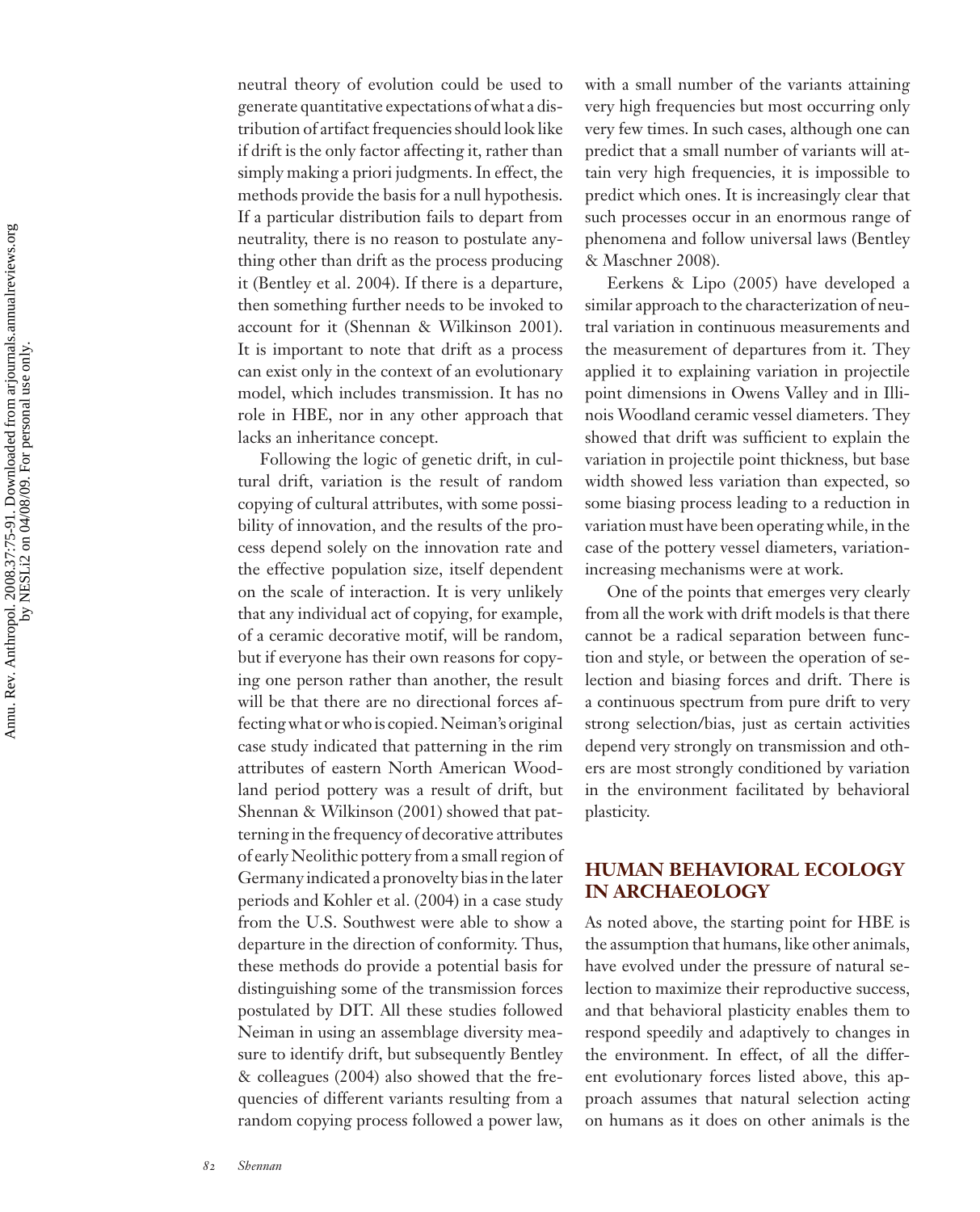neutral theory of evolution could be used to generate quantitative expectations of what a distribution of artifact frequencies should look like if drift is the only factor affecting it, rather than simply making a priori judgments. In effect, the methods provide the basis for a null hypothesis. If a particular distribution fails to depart from neutrality, there is no reason to postulate anything other than drift as the process producing it (Bentley et al. 2004). If there is a departure, then something further needs to be invoked to account for it (Shennan & Wilkinson 2001). It is important to note that drift as a process can exist only in the context of an evolutionary model, which includes transmission. It has no role in HBE, nor in any other approach that lacks an inheritance concept.

Following the logic of genetic drift, in cultural drift, variation is the result of random copying of cultural attributes, with some possibility of innovation, and the results of the process depend solely on the innovation rate and the effective population size, itself dependent on the scale of interaction. It is very unlikely that any individual act of copying, for example, of a ceramic decorative motif, will be random, but if everyone has their own reasons for copying one person rather than another, the result will be that there are no directional forces affecting what or who is copied. Neiman's original case study indicated that patterning in the rim attributes of eastern North American Woodland period pottery was a result of drift, but Shennan & Wilkinson (2001) showed that patterning in the frequency of decorative attributes of early Neolithic pottery from a small region of Germany indicated a pronovelty bias in the later periods and Kohler et al. (2004) in a case study from the U.S. Southwest were able to show a departure in the direction of conformity. Thus, these methods do provide a potential basis for distinguishing some of the transmission forces postulated by DIT. All these studies followed Neiman in using an assemblage diversity measure to identify drift, but subsequently Bentley & colleagues (2004) also showed that the frequencies of different variants resulting from a random copying process followed a power law,

with a small number of the variants attaining very high frequencies but most occurring only very few times. In such cases, although one can predict that a small number of variants will attain very high frequencies, it is impossible to predict which ones. It is increasingly clear that such processes occur in an enormous range of phenomena and follow universal laws (Bentley & Maschner 2008).

Eerkens & Lipo (2005) have developed a similar approach to the characterization of neutral variation in continuous measurements and the measurement of departures from it. They applied it to explaining variation in projectile point dimensions in Owens Valley and in Illinois Woodland ceramic vessel diameters. They showed that drift was sufficient to explain the variation in projectile point thickness, but base width showed less variation than expected, so some biasing process leading to a reduction in variation must have been operating while, in the case of the pottery vessel diameters, variationincreasing mechanisms were at work.

One of the points that emerges very clearly from all the work with drift models is that there cannot be a radical separation between function and style, or between the operation of selection and biasing forces and drift. There is a continuous spectrum from pure drift to very strong selection/bias, just as certain activities depend very strongly on transmission and others are most strongly conditioned by variation in the environment facilitated by behavioral plasticity.

#### **HUMAN BEHAVIORAL ECOLOGY IN ARCHAEOLOGY**

As noted above, the starting point for HBE is the assumption that humans, like other animals, have evolved under the pressure of natural selection to maximize their reproductive success, and that behavioral plasticity enables them to respond speedily and adaptively to changes in the environment. In effect, of all the different evolutionary forces listed above, this approach assumes that natural selection acting on humans as it does on other animals is the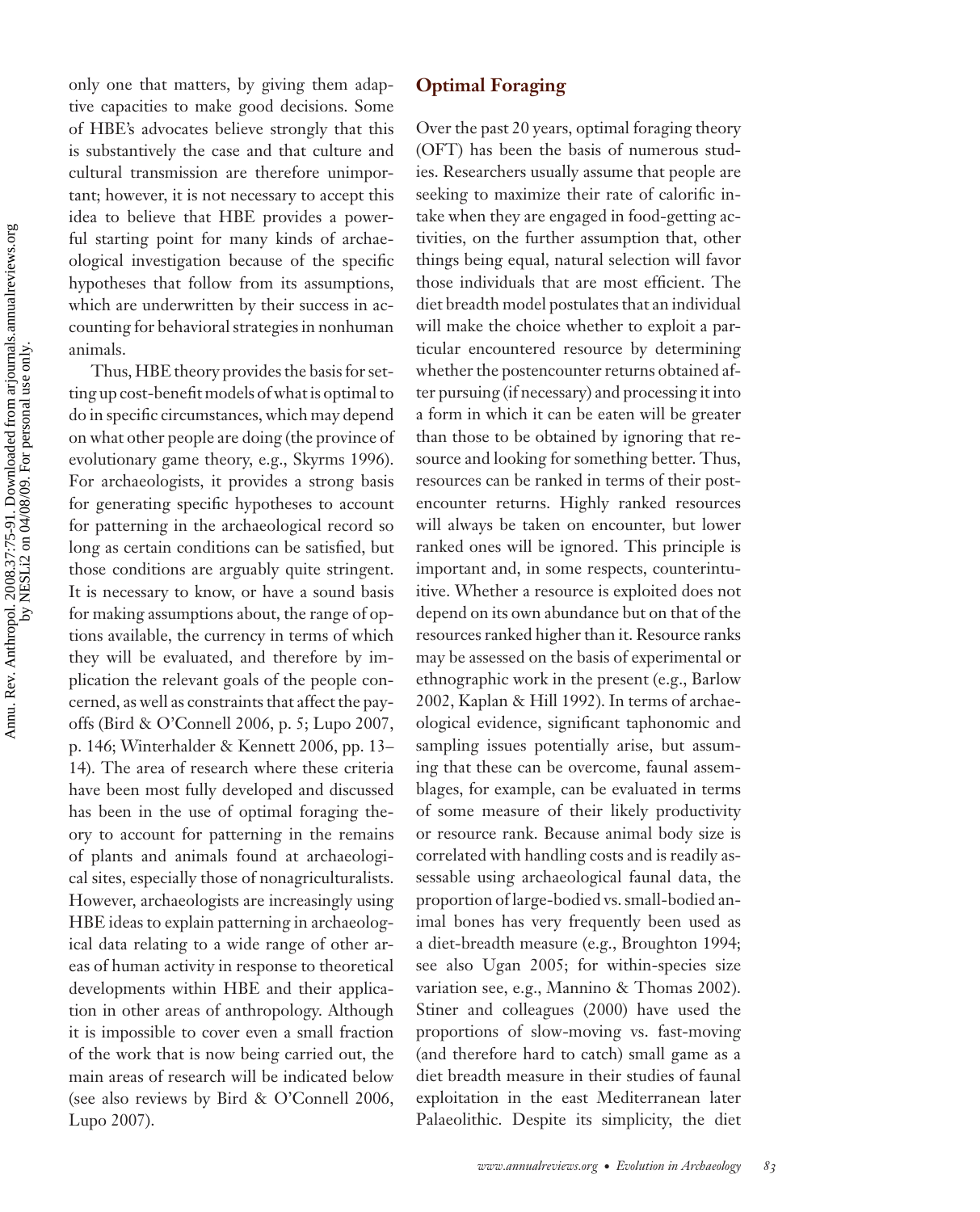only one that matters, by giving them adaptive capacities to make good decisions. Some of HBE's advocates believe strongly that this is substantively the case and that culture and cultural transmission are therefore unimportant; however, it is not necessary to accept this idea to believe that HBE provides a powerful starting point for many kinds of archaeological investigation because of the specific hypotheses that follow from its assumptions, which are underwritten by their success in accounting for behavioral strategies in nonhuman animals.

Thus, HBE theory provides the basis for setting up cost-benefit models of what is optimal to do in specific circumstances, which may depend on what other people are doing (the province of evolutionary game theory, e.g., Skyrms 1996). For archaeologists, it provides a strong basis for generating specific hypotheses to account for patterning in the archaeological record so long as certain conditions can be satisfied, but those conditions are arguably quite stringent. It is necessary to know, or have a sound basis for making assumptions about, the range of options available, the currency in terms of which they will be evaluated, and therefore by implication the relevant goals of the people concerned, as well as constraints that affect the payoffs (Bird & O'Connell 2006, p. 5; Lupo 2007, p. 146; Winterhalder & Kennett 2006, pp. 13– 14). The area of research where these criteria have been most fully developed and discussed has been in the use of optimal foraging theory to account for patterning in the remains of plants and animals found at archaeological sites, especially those of nonagriculturalists. However, archaeologists are increasingly using HBE ideas to explain patterning in archaeological data relating to a wide range of other areas of human activity in response to theoretical developments within HBE and their application in other areas of anthropology. Although it is impossible to cover even a small fraction of the work that is now being carried out, the main areas of research will be indicated below (see also reviews by Bird & O'Connell 2006, Lupo 2007).

#### **Optimal Foraging**

Over the past 20 years, optimal foraging theory (OFT) has been the basis of numerous studies. Researchers usually assume that people are seeking to maximize their rate of calorific intake when they are engaged in food-getting activities, on the further assumption that, other things being equal, natural selection will favor those individuals that are most efficient. The diet breadth model postulates that an individual will make the choice whether to exploit a particular encountered resource by determining whether the postencounter returns obtained after pursuing (if necessary) and processing it into a form in which it can be eaten will be greater than those to be obtained by ignoring that resource and looking for something better. Thus, resources can be ranked in terms of their postencounter returns. Highly ranked resources will always be taken on encounter, but lower ranked ones will be ignored. This principle is important and, in some respects, counterintuitive. Whether a resource is exploited does not depend on its own abundance but on that of the resources ranked higher than it. Resource ranks may be assessed on the basis of experimental or ethnographic work in the present (e.g., Barlow 2002, Kaplan & Hill 1992). In terms of archaeological evidence, significant taphonomic and sampling issues potentially arise, but assuming that these can be overcome, faunal assemblages, for example, can be evaluated in terms of some measure of their likely productivity or resource rank. Because animal body size is correlated with handling costs and is readily assessable using archaeological faunal data, the proportion of large-bodied vs. small-bodied animal bones has very frequently been used as a diet-breadth measure (e.g., Broughton 1994; see also Ugan 2005; for within-species size variation see, e.g., Mannino & Thomas 2002). Stiner and colleagues (2000) have used the proportions of slow-moving vs. fast-moving (and therefore hard to catch) small game as a diet breadth measure in their studies of faunal exploitation in the east Mediterranean later Palaeolithic. Despite its simplicity, the diet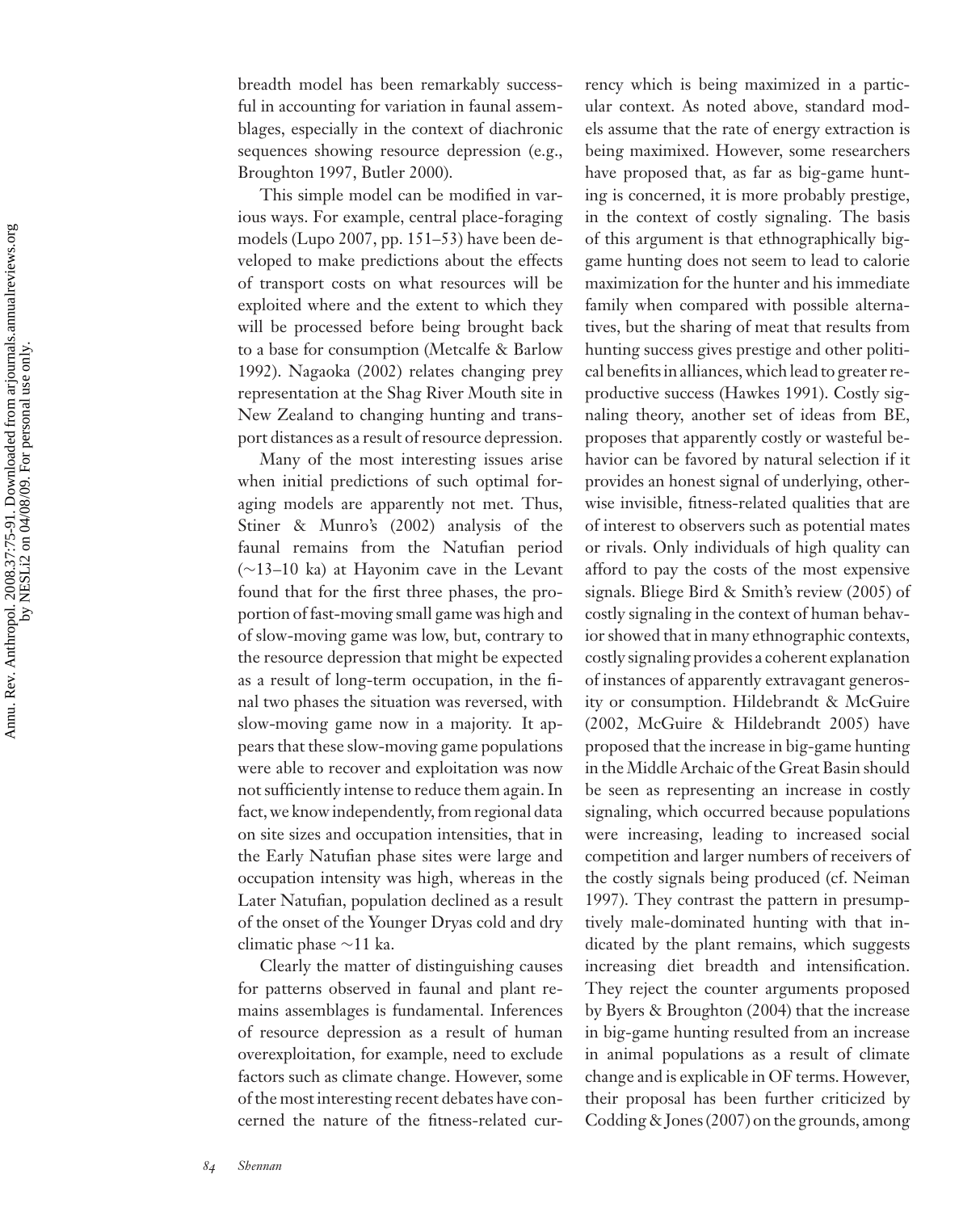breadth model has been remarkably successful in accounting for variation in faunal assemblages, especially in the context of diachronic sequences showing resource depression (e.g., Broughton 1997, Butler 2000).

This simple model can be modified in various ways. For example, central place-foraging models (Lupo 2007, pp. 151–53) have been developed to make predictions about the effects of transport costs on what resources will be exploited where and the extent to which they will be processed before being brought back to a base for consumption (Metcalfe & Barlow 1992). Nagaoka (2002) relates changing prey representation at the Shag River Mouth site in New Zealand to changing hunting and transport distances as a result of resource depression.

Many of the most interesting issues arise when initial predictions of such optimal foraging models are apparently not met. Thus, Stiner & Munro's (2002) analysis of the faunal remains from the Natufian period (∼13–10 ka) at Hayonim cave in the Levant found that for the first three phases, the proportion of fast-moving small game was high and of slow-moving game was low, but, contrary to the resource depression that might be expected as a result of long-term occupation, in the final two phases the situation was reversed, with slow-moving game now in a majority. It appears that these slow-moving game populations were able to recover and exploitation was now not sufficiently intense to reduce them again. In fact, we know independently, from regional data on site sizes and occupation intensities, that in the Early Natufian phase sites were large and occupation intensity was high, whereas in the Later Natufian, population declined as a result of the onset of the Younger Dryas cold and dry climatic phase ∼11 ka.

Clearly the matter of distinguishing causes for patterns observed in faunal and plant remains assemblages is fundamental. Inferences of resource depression as a result of human overexploitation, for example, need to exclude factors such as climate change. However, some of the most interesting recent debates have concerned the nature of the fitness-related currency which is being maximized in a particular context. As noted above, standard models assume that the rate of energy extraction is being maximixed. However, some researchers have proposed that, as far as big-game hunting is concerned, it is more probably prestige, in the context of costly signaling. The basis of this argument is that ethnographically biggame hunting does not seem to lead to calorie maximization for the hunter and his immediate family when compared with possible alternatives, but the sharing of meat that results from hunting success gives prestige and other political benefits in alliances, which lead to greater reproductive success (Hawkes 1991). Costly signaling theory, another set of ideas from BE, proposes that apparently costly or wasteful behavior can be favored by natural selection if it provides an honest signal of underlying, otherwise invisible, fitness-related qualities that are of interest to observers such as potential mates or rivals. Only individuals of high quality can afford to pay the costs of the most expensive signals. Bliege Bird & Smith's review (2005) of costly signaling in the context of human behavior showed that in many ethnographic contexts, costly signaling provides a coherent explanation of instances of apparently extravagant generosity or consumption. Hildebrandt & McGuire (2002, McGuire & Hildebrandt 2005) have proposed that the increase in big-game hunting in the Middle Archaic of the Great Basin should be seen as representing an increase in costly signaling, which occurred because populations were increasing, leading to increased social competition and larger numbers of receivers of the costly signals being produced (cf. Neiman 1997). They contrast the pattern in presumptively male-dominated hunting with that indicated by the plant remains, which suggests increasing diet breadth and intensification. They reject the counter arguments proposed by Byers & Broughton (2004) that the increase in big-game hunting resulted from an increase in animal populations as a result of climate change and is explicable in OF terms. However, their proposal has been further criticized by Codding & Jones (2007) on the grounds, among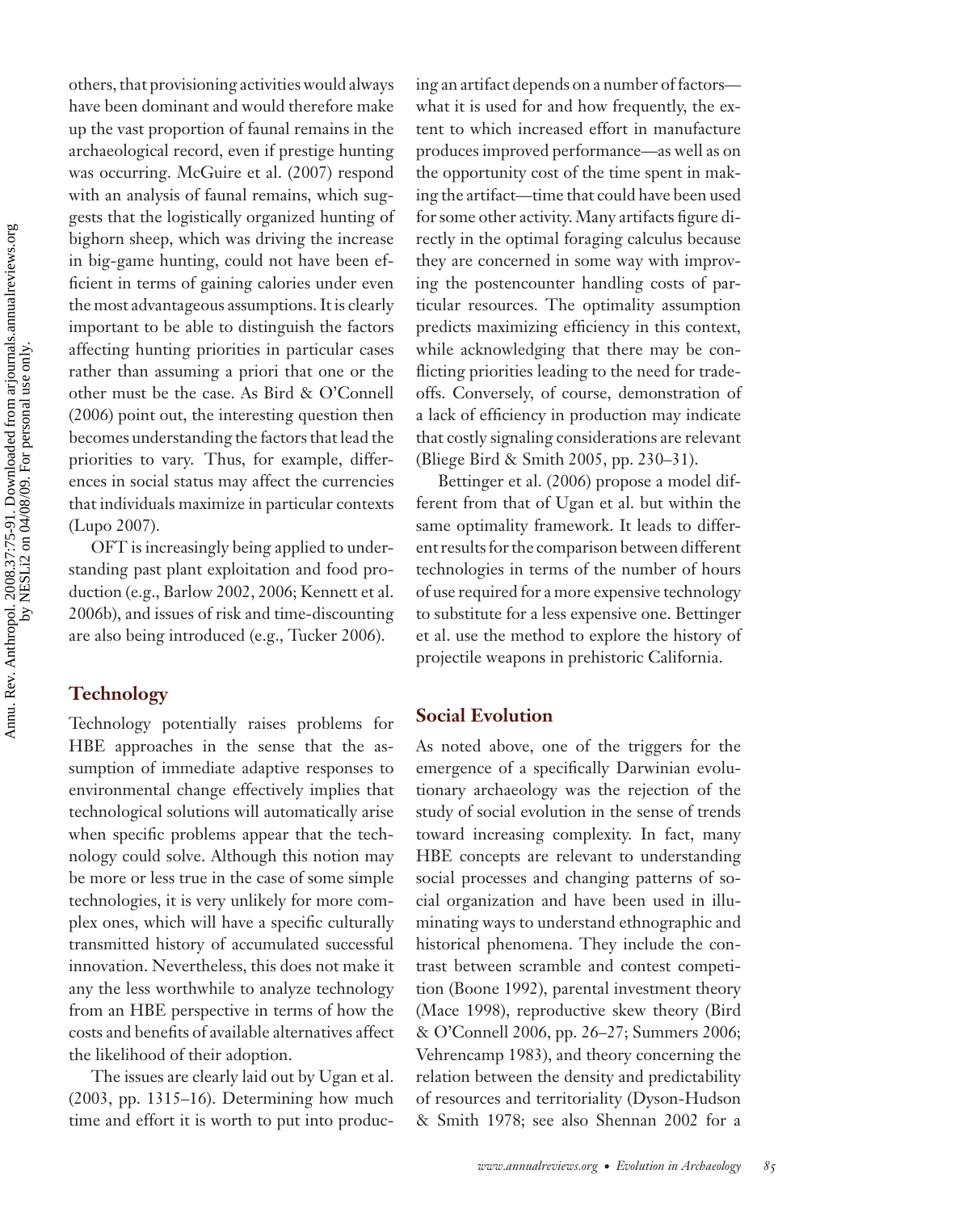others, that provisioning activities would always have been dominant and would therefore make up the vast proportion of faunal remains in the archaeological record, even if prestige hunting was occurring. McGuire et al. (2007) respond with an analysis of faunal remains, which suggests that the logistically organized hunting of bighorn sheep, which was driving the increase in big-game hunting, could not have been efficient in terms of gaining calories under even the most advantageous assumptions. It is clearly important to be able to distinguish the factors affecting hunting priorities in particular cases rather than assuming a priori that one or the other must be the case. As Bird & O'Connell (2006) point out, the interesting question then becomes understanding the factors that lead the priorities to vary. Thus, for example, differences in social status may affect the currencies that individuals maximize in particular contexts (Lupo 2007).

OFT is increasingly being applied to understanding past plant exploitation and food production (e.g., Barlow 2002, 2006; Kennett et al. 2006b), and issues of risk and time-discounting are also being introduced (e.g., Tucker 2006).

#### **Technology**

Technology potentially raises problems for HBE approaches in the sense that the assumption of immediate adaptive responses to environmental change effectively implies that technological solutions will automatically arise when specific problems appear that the technology could solve. Although this notion may be more or less true in the case of some simple technologies, it is very unlikely for more complex ones, which will have a specific culturally transmitted history of accumulated successful innovation. Nevertheless, this does not make it any the less worthwhile to analyze technology from an HBE perspective in terms of how the costs and benefits of available alternatives affect the likelihood of their adoption.

The issues are clearly laid out by Ugan et al. (2003, pp. 1315–16). Determining how much time and effort it is worth to put into produc-

ing an artifact depends on a number of factors what it is used for and how frequently, the extent to which increased effort in manufacture produces improved performance—as well as on the opportunity cost of the time spent in making the artifact—time that could have been used for some other activity. Many artifacts figure directly in the optimal foraging calculus because they are concerned in some way with improving the postencounter handling costs of particular resources. The optimality assumption predicts maximizing efficiency in this context, while acknowledging that there may be conflicting priorities leading to the need for tradeoffs. Conversely, of course, demonstration of a lack of efficiency in production may indicate that costly signaling considerations are relevant (Bliege Bird & Smith 2005, pp. 230–31).

Bettinger et al. (2006) propose a model different from that of Ugan et al. but within the same optimality framework. It leads to different results for the comparison between different technologies in terms of the number of hours of use required for a more expensive technology to substitute for a less expensive one. Bettinger et al. use the method to explore the history of projectile weapons in prehistoric California.

#### **Social Evolution**

As noted above, one of the triggers for the emergence of a specifically Darwinian evolutionary archaeology was the rejection of the study of social evolution in the sense of trends toward increasing complexity. In fact, many HBE concepts are relevant to understanding social processes and changing patterns of social organization and have been used in illuminating ways to understand ethnographic and historical phenomena. They include the contrast between scramble and contest competition (Boone 1992), parental investment theory (Mace 1998), reproductive skew theory (Bird & O'Connell 2006, pp. 26–27; Summers 2006; Vehrencamp 1983), and theory concerning the relation between the density and predictability of resources and territoriality (Dyson-Hudson & Smith 1978; see also Shennan 2002 for a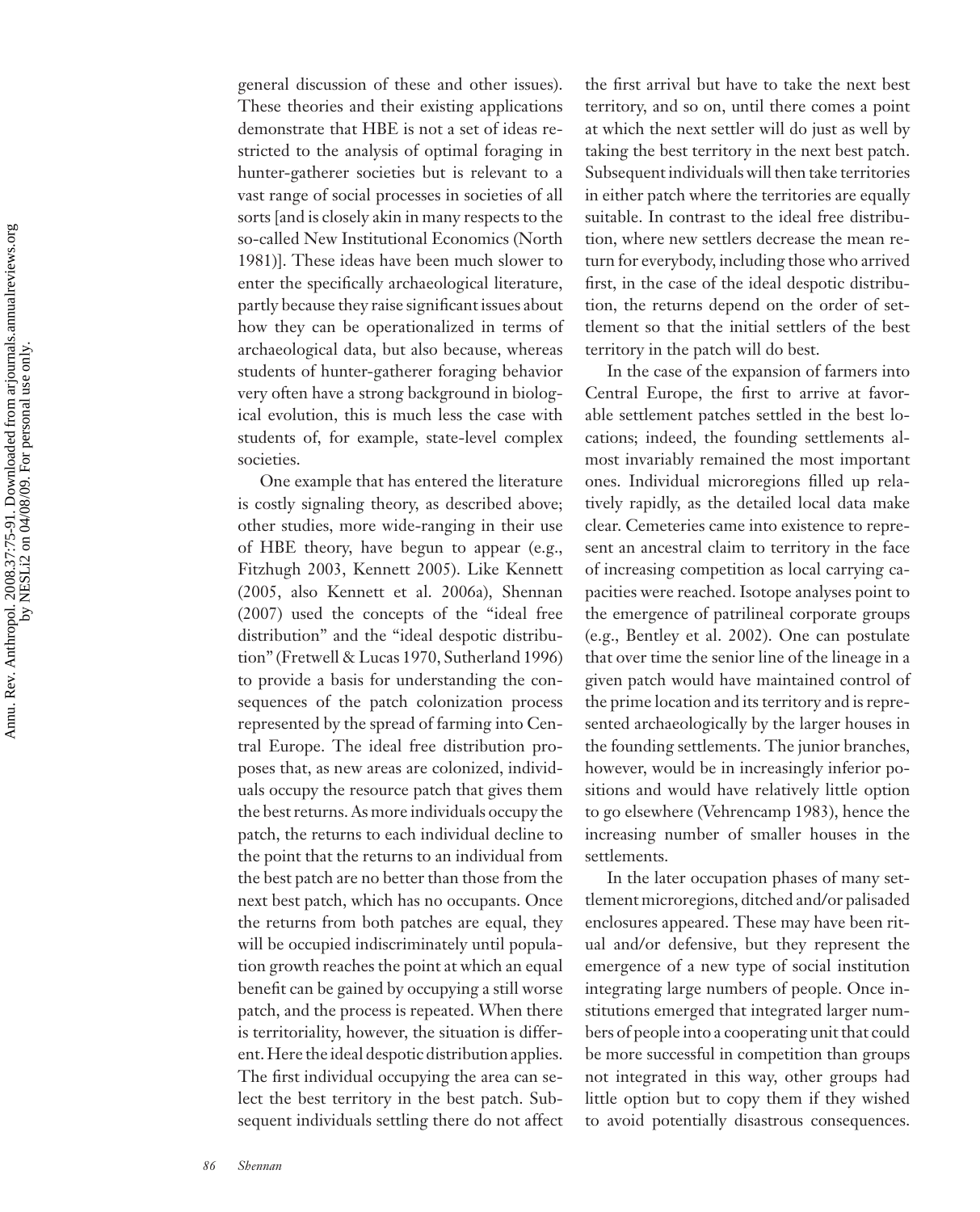general discussion of these and other issues). These theories and their existing applications demonstrate that HBE is not a set of ideas restricted to the analysis of optimal foraging in hunter-gatherer societies but is relevant to a vast range of social processes in societies of all sorts [and is closely akin in many respects to the so-called New Institutional Economics (North 1981)]. These ideas have been much slower to enter the specifically archaeological literature, partly because they raise significant issues about how they can be operationalized in terms of archaeological data, but also because, whereas students of hunter-gatherer foraging behavior very often have a strong background in biological evolution, this is much less the case with students of, for example, state-level complex societies.

One example that has entered the literature is costly signaling theory, as described above; other studies, more wide-ranging in their use of HBE theory, have begun to appear (e.g., Fitzhugh 2003, Kennett 2005). Like Kennett (2005, also Kennett et al. 2006a), Shennan (2007) used the concepts of the "ideal free distribution" and the "ideal despotic distribution" (Fretwell & Lucas 1970, Sutherland 1996) to provide a basis for understanding the consequences of the patch colonization process represented by the spread of farming into Central Europe. The ideal free distribution proposes that, as new areas are colonized, individuals occupy the resource patch that gives them the best returns. As more individuals occupy the patch, the returns to each individual decline to the point that the returns to an individual from the best patch are no better than those from the next best patch, which has no occupants. Once the returns from both patches are equal, they will be occupied indiscriminately until population growth reaches the point at which an equal benefit can be gained by occupying a still worse patch, and the process is repeated. When there is territoriality, however, the situation is different. Here the ideal despotic distribution applies. The first individual occupying the area can select the best territory in the best patch. Subsequent individuals settling there do not affect

the first arrival but have to take the next best territory, and so on, until there comes a point at which the next settler will do just as well by taking the best territory in the next best patch. Subsequent individuals will then take territories in either patch where the territories are equally suitable. In contrast to the ideal free distribution, where new settlers decrease the mean return for everybody, including those who arrived first, in the case of the ideal despotic distribution, the returns depend on the order of settlement so that the initial settlers of the best territory in the patch will do best.

In the case of the expansion of farmers into Central Europe, the first to arrive at favorable settlement patches settled in the best locations; indeed, the founding settlements almost invariably remained the most important ones. Individual microregions filled up relatively rapidly, as the detailed local data make clear. Cemeteries came into existence to represent an ancestral claim to territory in the face of increasing competition as local carrying capacities were reached. Isotope analyses point to the emergence of patrilineal corporate groups (e.g., Bentley et al. 2002). One can postulate that over time the senior line of the lineage in a given patch would have maintained control of the prime location and its territory and is represented archaeologically by the larger houses in the founding settlements. The junior branches, however, would be in increasingly inferior positions and would have relatively little option to go elsewhere (Vehrencamp 1983), hence the increasing number of smaller houses in the settlements.

In the later occupation phases of many settlement microregions, ditched and/or palisaded enclosures appeared. These may have been ritual and/or defensive, but they represent the emergence of a new type of social institution integrating large numbers of people. Once institutions emerged that integrated larger numbers of people into a cooperating unit that could be more successful in competition than groups not integrated in this way, other groups had little option but to copy them if they wished to avoid potentially disastrous consequences.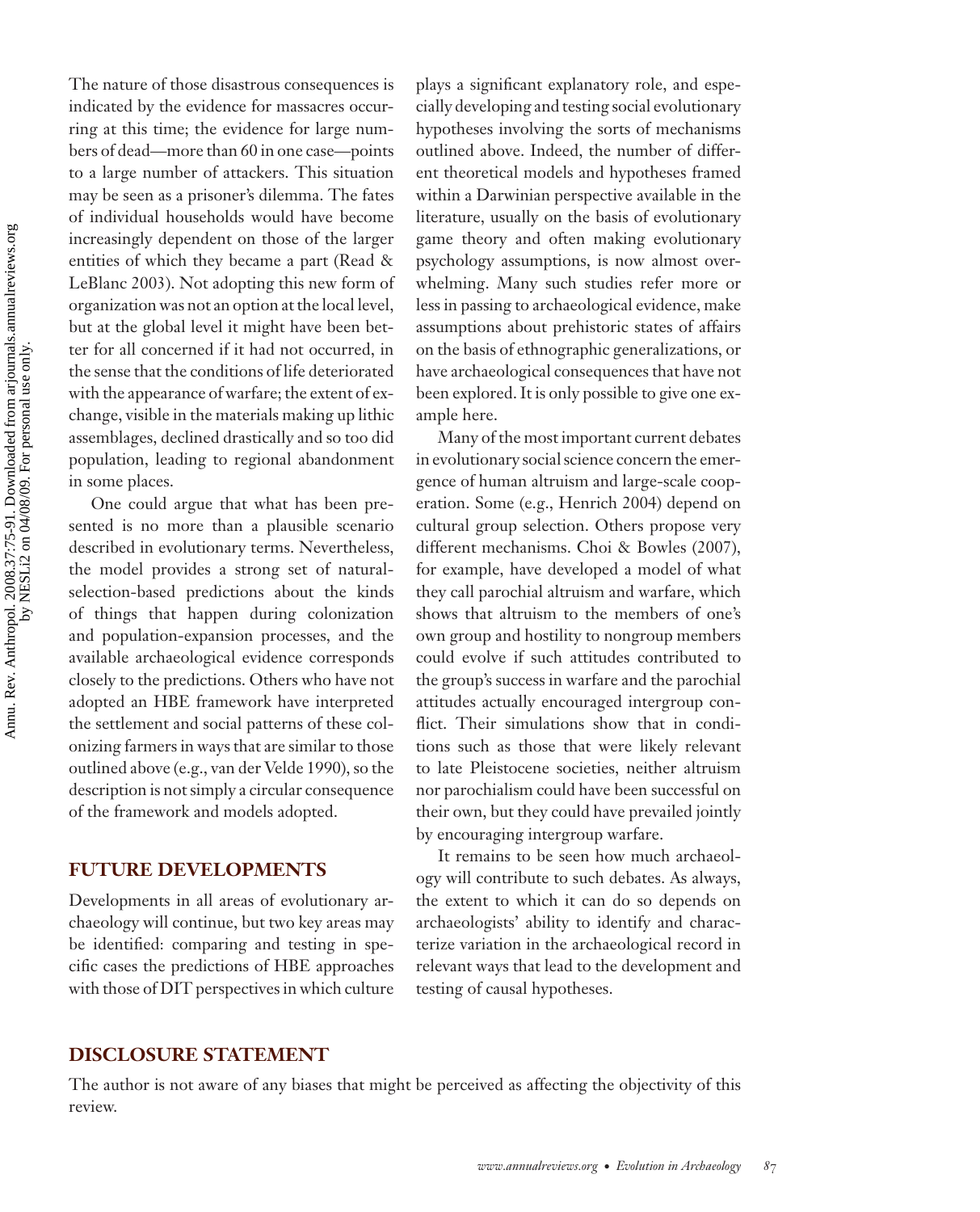The nature of those disastrous consequences is indicated by the evidence for massacres occurring at this time; the evidence for large numbers of dead—more than 60 in one case—points to a large number of attackers. This situation may be seen as a prisoner's dilemma. The fates of individual households would have become increasingly dependent on those of the larger entities of which they became a part (Read & LeBlanc 2003). Not adopting this new form of organization was not an option at the local level, but at the global level it might have been better for all concerned if it had not occurred, in the sense that the conditions of life deteriorated with the appearance of warfare; the extent of exchange, visible in the materials making up lithic assemblages, declined drastically and so too did population, leading to regional abandonment in some places.

One could argue that what has been presented is no more than a plausible scenario described in evolutionary terms. Nevertheless, the model provides a strong set of naturalselection-based predictions about the kinds of things that happen during colonization and population-expansion processes, and the available archaeological evidence corresponds closely to the predictions. Others who have not adopted an HBE framework have interpreted the settlement and social patterns of these colonizing farmers in ways that are similar to those outlined above (e.g., van der Velde 1990), so the description is not simply a circular consequence of the framework and models adopted.

#### **FUTURE DEVELOPMENTS**

Developments in all areas of evolutionary archaeology will continue, but two key areas may be identified: comparing and testing in specific cases the predictions of HBE approaches with those of DIT perspectives in which culture

plays a significant explanatory role, and especially developing and testing social evolutionary hypotheses involving the sorts of mechanisms outlined above. Indeed, the number of different theoretical models and hypotheses framed within a Darwinian perspective available in the literature, usually on the basis of evolutionary game theory and often making evolutionary psychology assumptions, is now almost overwhelming. Many such studies refer more or less in passing to archaeological evidence, make assumptions about prehistoric states of affairs on the basis of ethnographic generalizations, or have archaeological consequences that have not been explored. It is only possible to give one example here.

Many of the most important current debates in evolutionary social science concern the emergence of human altruism and large-scale cooperation. Some (e.g., Henrich 2004) depend on cultural group selection. Others propose very different mechanisms. Choi & Bowles (2007), for example, have developed a model of what they call parochial altruism and warfare, which shows that altruism to the members of one's own group and hostility to nongroup members could evolve if such attitudes contributed to the group's success in warfare and the parochial attitudes actually encouraged intergroup conflict. Their simulations show that in conditions such as those that were likely relevant to late Pleistocene societies, neither altruism nor parochialism could have been successful on their own, but they could have prevailed jointly by encouraging intergroup warfare.

It remains to be seen how much archaeology will contribute to such debates. As always, the extent to which it can do so depends on archaeologists' ability to identify and characterize variation in the archaeological record in relevant ways that lead to the development and testing of causal hypotheses.

#### **DISCLOSURE STATEMENT**

The author is not aware of any biases that might be perceived as affecting the objectivity of this review.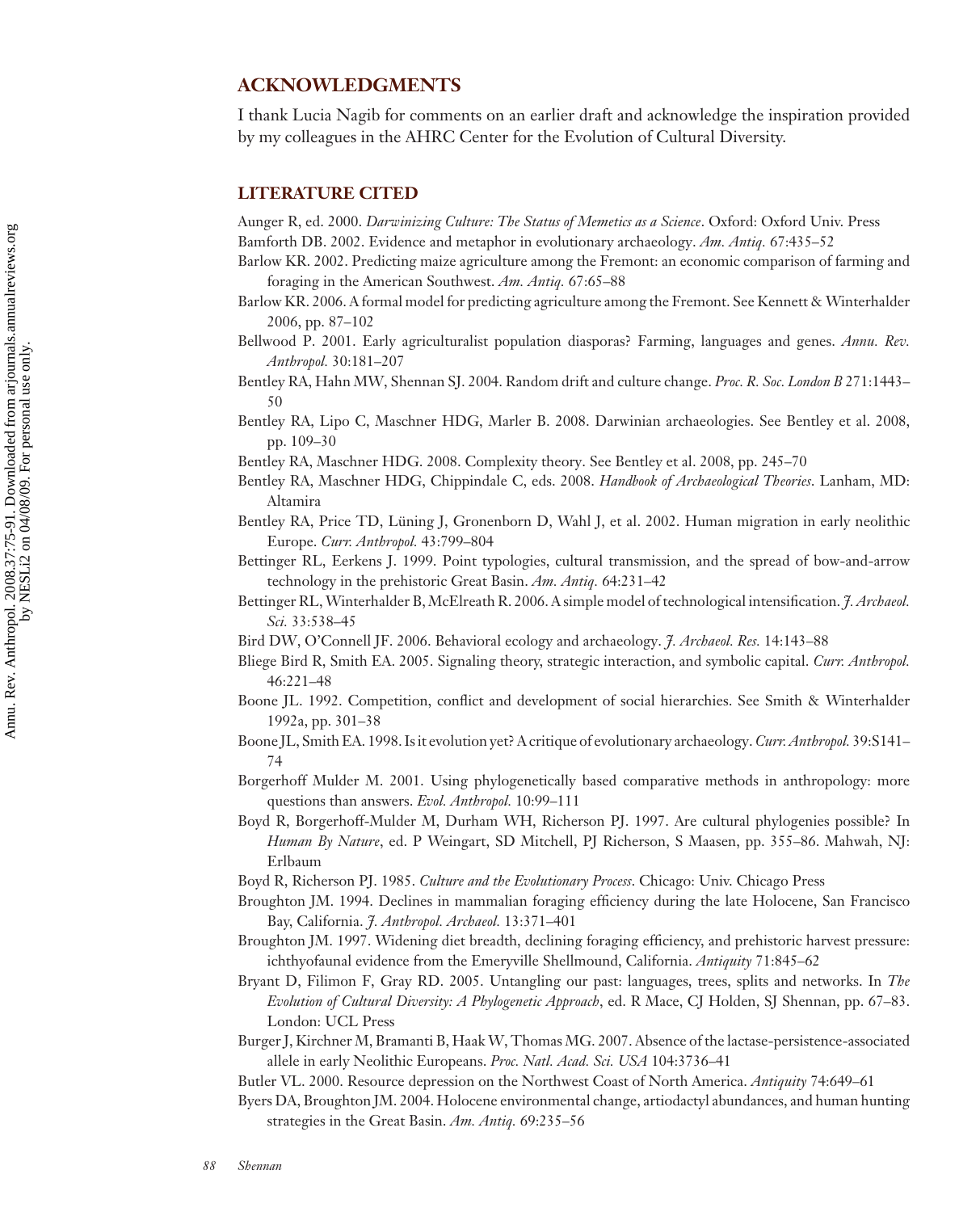#### **ACKNOWLEDGMENTS**

I thank Lucia Nagib for comments on an earlier draft and acknowledge the inspiration provided by my colleagues in the AHRC Center for the Evolution of Cultural Diversity.

#### **LITERATURE CITED**

Aunger R, ed. 2000. *Darwinizing Culture: The Status of Memetics as a Science*. Oxford: Oxford Univ. Press Bamforth DB. 2002. Evidence and metaphor in evolutionary archaeology. *Am. Antiq.* 67:435–52

- Barlow KR. 2002. Predicting maize agriculture among the Fremont: an economic comparison of farming and foraging in the American Southwest. *Am. Antiq.* 67:65–88
- Barlow KR. 2006. A formal model for predicting agriculture among the Fremont. See Kennett & Winterhalder 2006, pp. 87–102
- Bellwood P. 2001. Early agriculturalist population diasporas? Farming, languages and genes. *Annu. Rev. Anthropol.* 30:181–207
- Bentley RA, Hahn MW, Shennan SJ. 2004. Random drift and culture change. *Proc. R. Soc. London B* 271:1443– 50
- Bentley RA, Lipo C, Maschner HDG, Marler B. 2008. Darwinian archaeologies. See Bentley et al. 2008, pp. 109–30
- Bentley RA, Maschner HDG. 2008. Complexity theory. See Bentley et al. 2008, pp. 245–70
- Bentley RA, Maschner HDG, Chippindale C, eds. 2008. *Handbook of Archaeological Theories*. Lanham, MD: Altamira
- Bentley RA, Price TD, Lüning J, Gronenborn D, Wahl J, et al. 2002. Human migration in early neolithic Europe. *Curr. Anthropol.* 43:799–804
- Bettinger RL, Eerkens J. 1999. Point typologies, cultural transmission, and the spread of bow-and-arrow technology in the prehistoric Great Basin. *Am. Antiq.* 64:231–42
- Bettinger RL, Winterhalder B, McElreath R. 2006. A simple model of technological intensification. *J. Archaeol. Sci.* 33:538–45
- Bird DW, O'Connell JF. 2006. Behavioral ecology and archaeology. *J. Archaeol. Res.* 14:143–88
- Bliege Bird R, Smith EA. 2005. Signaling theory, strategic interaction, and symbolic capital. *Curr. Anthropol.* 46:221–48
- Boone JL. 1992. Competition, conflict and development of social hierarchies. See Smith & Winterhalder 1992a, pp. 301–38
- Boone JL, Smith EA. 1998. Is it evolution yet? A critique of evolutionary archaeology.*Curr. Anthropol.* 39:S141– 74
- Borgerhoff Mulder M. 2001. Using phylogenetically based comparative methods in anthropology: more questions than answers. *Evol. Anthropol.* 10:99–111
- Boyd R, Borgerhoff-Mulder M, Durham WH, Richerson PJ. 1997. Are cultural phylogenies possible? In *Human By Nature*, ed. P Weingart, SD Mitchell, PJ Richerson, S Maasen, pp. 355–86. Mahwah, NJ: Erlbaum
- Boyd R, Richerson PJ. 1985. *Culture and the Evolutionary Process*. Chicago: Univ. Chicago Press
- Broughton JM. 1994. Declines in mammalian foraging efficiency during the late Holocene, San Francisco Bay, California. *J. Anthropol. Archaeol.* 13:371–401
- Broughton JM. 1997. Widening diet breadth, declining foraging efficiency, and prehistoric harvest pressure: ichthyofaunal evidence from the Emeryville Shellmound, California. *Antiquity* 71:845–62
- Bryant D, Filimon F, Gray RD. 2005. Untangling our past: languages, trees, splits and networks. In *The Evolution of Cultural Diversity: A Phylogenetic Approach*, ed. R Mace, CJ Holden, SJ Shennan, pp. 67–83. London: UCL Press
- Burger J, Kirchner M, Bramanti B, Haak W, Thomas MG. 2007. Absence of the lactase-persistence-associated allele in early Neolithic Europeans. *Proc. Natl. Acad. Sci. USA* 104:3736–41
- Butler VL. 2000. Resource depression on the Northwest Coast of North America. *Antiquity* 74:649–61
- Byers DA, Broughton JM. 2004. Holocene environmental change, artiodactyl abundances, and human hunting strategies in the Great Basin. *Am. Antiq.* 69:235–56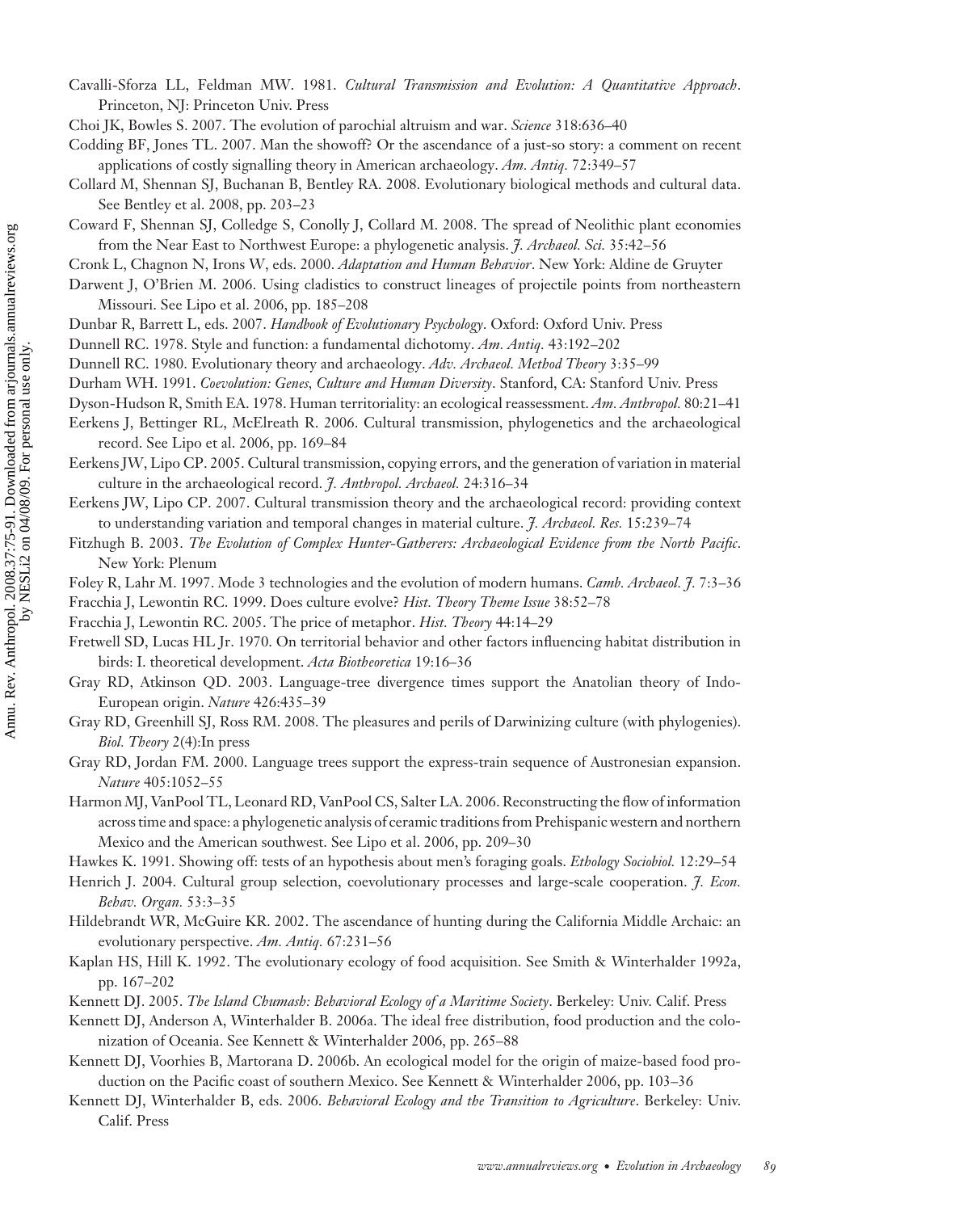- Annu. Rev. Anthropol. 2008.37:75-91. Downloaded from arjournals.annualreviews.org<br>by NESLi2 on 04/08/09. For personal use only. Annu. Rev. Anthropol. 2008.37:75-91. Downloaded from arjournals.annualreviews.org by NESLi2 on 04/08/09. For personal use only.
- Cavalli-Sforza LL, Feldman MW. 1981. *Cultural Transmission and Evolution: A Quantitative Approach*. Princeton, NJ: Princeton Univ. Press
- Choi JK, Bowles S. 2007. The evolution of parochial altruism and war. *Science* 318:636–40
- Codding BF, Jones TL. 2007. Man the showoff? Or the ascendance of a just-so story: a comment on recent applications of costly signalling theory in American archaeology. *Am. Antiq.* 72:349–57
- Collard M, Shennan SJ, Buchanan B, Bentley RA. 2008. Evolutionary biological methods and cultural data. See Bentley et al. 2008, pp. 203–23
- Coward F, Shennan SJ, Colledge S, Conolly J, Collard M. 2008. The spread of Neolithic plant economies from the Near East to Northwest Europe: a phylogenetic analysis. *J. Archaeol. Sci.* 35:42–56
- Cronk L, Chagnon N, Irons W, eds. 2000. *Adaptation and Human Behavior*. New York: Aldine de Gruyter
- Darwent J, O'Brien M. 2006. Using cladistics to construct lineages of projectile points from northeastern Missouri. See Lipo et al. 2006, pp. 185–208
- Dunbar R, Barrett L, eds. 2007. *Handbook of Evolutionary Psychology*. Oxford: Oxford Univ. Press
- Dunnell RC. 1978. Style and function: a fundamental dichotomy. *Am. Antiq.* 43:192–202
- Dunnell RC. 1980. Evolutionary theory and archaeology. *Adv. Archaeol. Method Theory* 3:35–99
- Durham WH. 1991. *Coevolution: Genes, Culture and Human Diversity*. Stanford, CA: Stanford Univ. Press
- Dyson-Hudson R, Smith EA. 1978. Human territoriality: an ecological reassessment. *Am. Anthropol.* 80:21–41
- Eerkens J, Bettinger RL, McElreath R. 2006. Cultural transmission, phylogenetics and the archaeological record. See Lipo et al. 2006, pp. 169–84
- Eerkens JW, Lipo CP. 2005. Cultural transmission, copying errors, and the generation of variation in material culture in the archaeological record. *J. Anthropol. Archaeol.* 24:316–34
- Eerkens JW, Lipo CP. 2007. Cultural transmission theory and the archaeological record: providing context to understanding variation and temporal changes in material culture. *J. Archaeol. Res.* 15:239–74
- Fitzhugh B. 2003. *The Evolution of Complex Hunter-Gatherers: Archaeological Evidence from the North Pacific*. New York: Plenum
- Foley R, Lahr M. 1997. Mode 3 technologies and the evolution of modern humans. *Camb. Archaeol. J.* 7:3–36
- Fracchia J, Lewontin RC. 1999. Does culture evolve? *Hist. Theory Theme Issue* 38:52–78
- Fracchia J, Lewontin RC. 2005. The price of metaphor. *Hist. Theory* 44:14–29
- Fretwell SD, Lucas HL Jr. 1970. On territorial behavior and other factors influencing habitat distribution in birds: I. theoretical development. *Acta Biotheoretica* 19:16–36
- Gray RD, Atkinson QD. 2003. Language-tree divergence times support the Anatolian theory of Indo-European origin. *Nature* 426:435–39
- Gray RD, Greenhill SJ, Ross RM. 2008. The pleasures and perils of Darwinizing culture (with phylogenies). *Biol. Theory* 2(4):In press
- Gray RD, Jordan FM. 2000. Language trees support the express-train sequence of Austronesian expansion. *Nature* 405:1052–55
- Harmon MJ, VanPool TL, Leonard RD, VanPool CS, Salter LA. 2006. Reconstructing the flow of information across time and space: a phylogenetic analysis of ceramic traditions from Prehispanic western and northern Mexico and the American southwest. See Lipo et al. 2006, pp. 209–30
- Hawkes K. 1991. Showing off: tests of an hypothesis about men's foraging goals. *Ethology Sociobiol.* 12:29–54
- Henrich J. 2004. Cultural group selection, coevolutionary processes and large-scale cooperation. *J. Econ. Behav. Organ.* 53:3–35
- Hildebrandt WR, McGuire KR. 2002. The ascendance of hunting during the California Middle Archaic: an evolutionary perspective. *Am. Antiq.* 67:231–56
- Kaplan HS, Hill K. 1992. The evolutionary ecology of food acquisition. See Smith & Winterhalder 1992a, pp. 167–202
- Kennett DJ. 2005. *The Island Chumash: Behavioral Ecology of a Maritime Society*. Berkeley: Univ. Calif. Press
- Kennett DJ, Anderson A, Winterhalder B. 2006a. The ideal free distribution, food production and the colonization of Oceania. See Kennett & Winterhalder 2006, pp. 265–88
- Kennett DJ, Voorhies B, Martorana D. 2006b. An ecological model for the origin of maize-based food production on the Pacific coast of southern Mexico. See Kennett & Winterhalder 2006, pp. 103–36
- Kennett DJ, Winterhalder B, eds. 2006. *Behavioral Ecology and the Transition to Agriculture*. Berkeley: Univ. Calif. Press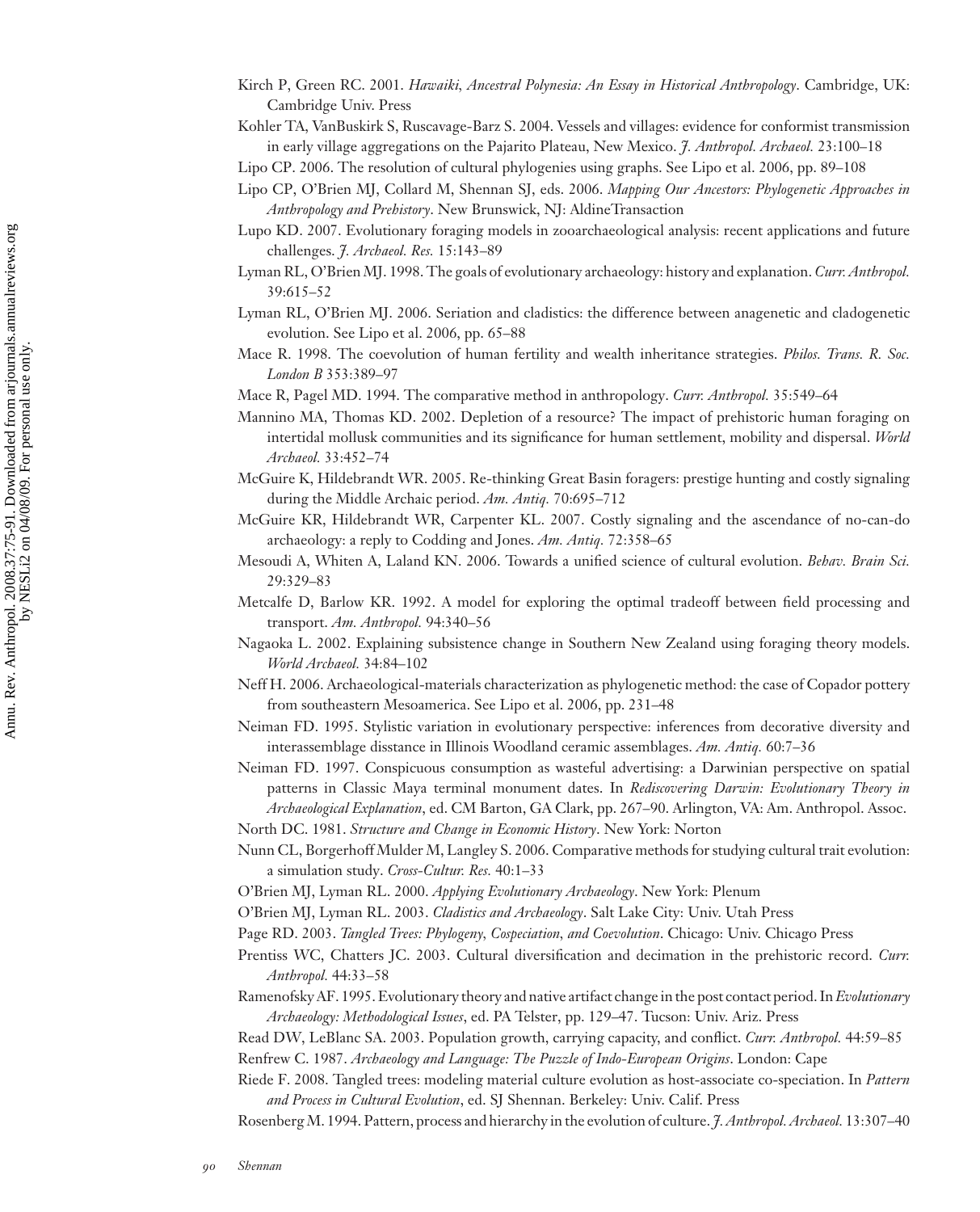Kirch P, Green RC. 2001. *Hawaiki, Ancestral Polynesia: An Essay in Historical Anthropology*. Cambridge, UK: Cambridge Univ. Press

Kohler TA, VanBuskirk S, Ruscavage-Barz S. 2004. Vessels and villages: evidence for conformist transmission in early village aggregations on the Pajarito Plateau, New Mexico. *J. Anthropol. Archaeol.* 23:100–18

Lipo CP. 2006. The resolution of cultural phylogenies using graphs. See Lipo et al. 2006, pp. 89–108

- Lipo CP, O'Brien MJ, Collard M, Shennan SJ, eds. 2006. *Mapping Our Ancestors: Phylogenetic Approaches in Anthropology and Prehistory*. New Brunswick, NJ: AldineTransaction
- Lupo KD. 2007. Evolutionary foraging models in zooarchaeological analysis: recent applications and future challenges. *J. Archaeol. Res.* 15:143–89
- Lyman RL, O'Brien MJ. 1998. The goals of evolutionary archaeology: history and explanation. *Curr. Anthropol.* 39:615–52
- Lyman RL, O'Brien MJ. 2006. Seriation and cladistics: the difference between anagenetic and cladogenetic evolution. See Lipo et al. 2006, pp. 65–88

Mace R. 1998. The coevolution of human fertility and wealth inheritance strategies. *Philos. Trans. R. Soc. London B* 353:389–97

Mace R, Pagel MD. 1994. The comparative method in anthropology. *Curr. Anthropol.* 35:549–64

- Mannino MA, Thomas KD. 2002. Depletion of a resource? The impact of prehistoric human foraging on intertidal mollusk communities and its significance for human settlement, mobility and dispersal. *World Archaeol.* 33:452–74
- McGuire K, Hildebrandt WR. 2005. Re-thinking Great Basin foragers: prestige hunting and costly signaling during the Middle Archaic period. *Am. Antiq.* 70:695–712
- McGuire KR, Hildebrandt WR, Carpenter KL. 2007. Costly signaling and the ascendance of no-can-do archaeology: a reply to Codding and Jones. *Am. Antiq.* 72:358–65
- Mesoudi A, Whiten A, Laland KN. 2006. Towards a unified science of cultural evolution. *Behav. Brain Sci.* 29:329–83
- Metcalfe D, Barlow KR. 1992. A model for exploring the optimal tradeoff between field processing and transport. *Am. Anthropol.* 94:340–56
- Nagaoka L. 2002. Explaining subsistence change in Southern New Zealand using foraging theory models. *World Archaeol.* 34:84–102
- Neff H. 2006. Archaeological-materials characterization as phylogenetic method: the case of Copador pottery from southeastern Mesoamerica. See Lipo et al. 2006, pp. 231–48
- Neiman FD. 1995. Stylistic variation in evolutionary perspective: inferences from decorative diversity and interassemblage disstance in Illinois Woodland ceramic assemblages. *Am. Antiq.* 60:7–36
- Neiman FD. 1997. Conspicuous consumption as wasteful advertising: a Darwinian perspective on spatial patterns in Classic Maya terminal monument dates. In *Rediscovering Darwin: Evolutionary Theory in Archaeological Explanation*, ed. CM Barton, GA Clark, pp. 267–90. Arlington, VA: Am. Anthropol. Assoc.
- North DC. 1981. *Structure and Change in Economic History*. New York: Norton
- Nunn CL, Borgerhoff Mulder M, Langley S. 2006. Comparative methods for studying cultural trait evolution: a simulation study. *Cross-Cultur. Res.* 40:1–33
- O'Brien MJ, Lyman RL. 2000. *Applying Evolutionary Archaeology*. New York: Plenum
- O'Brien MJ, Lyman RL. 2003. *Cladistics and Archaeology*. Salt Lake City: Univ. Utah Press
- Page RD. 2003. *Tangled Trees: Phylogeny, Cospeciation, and Coevolution*. Chicago: Univ. Chicago Press
- Prentiss WC, Chatters JC. 2003. Cultural diversification and decimation in the prehistoric record. *Curr. Anthropol.* 44:33–58
- Ramenofsky AF. 1995. Evolutionary theory and native artifact change in the post contact period. In*Evolutionary Archaeology: Methodological Issues*, ed. PA Telster, pp. 129–47. Tucson: Univ. Ariz. Press

Read DW, LeBlanc SA. 2003. Population growth, carrying capacity, and conflict. *Curr. Anthropol.* 44:59–85

Renfrew C. 1987. *Archaeology and Language: The Puzzle of Indo-European Origins*. London: Cape

Riede F. 2008. Tangled trees: modeling material culture evolution as host-associate co-speciation. In *Pattern and Process in Cultural Evolution*, ed. SJ Shennan. Berkeley: Univ. Calif. Press

Rosenberg M. 1994. Pattern, process and hierarchy in the evolution of culture. *J. Anthropol. Archaeol.* 13:307–40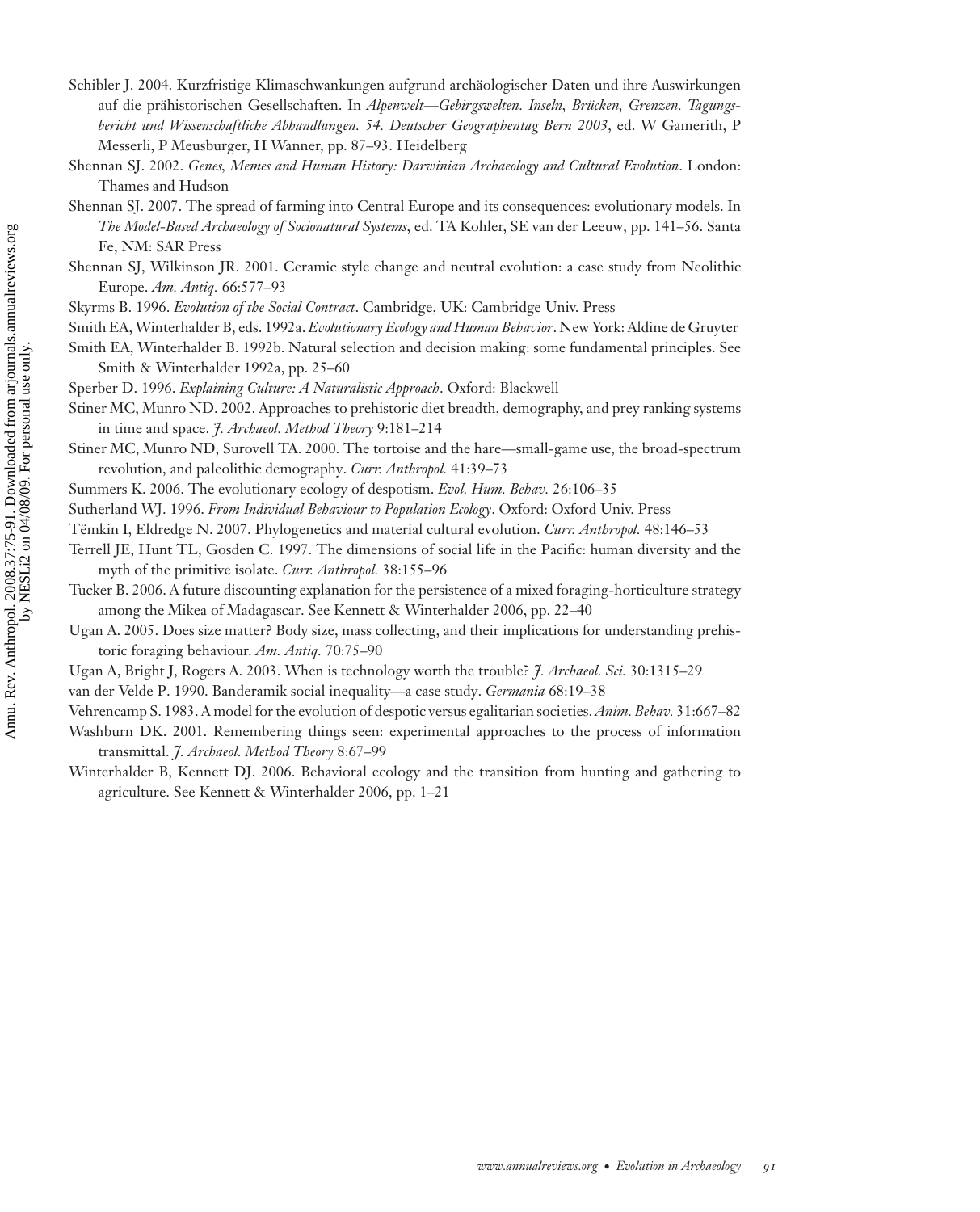- Schibler J. 2004. Kurzfristige Klimaschwankungen aufgrund archäologischer Daten und ihre Auswirkungen auf die prähistorischen Gesellschaften. In *Alpenwelt-Gebirgswelten. Inseln, Brücken, Grenzen. Tagungsbericht und Wissenschaftliche Abhandlungen. 54. Deutscher Geographentag Bern 2003*, ed. W Gamerith, P Messerli, P Meusburger, H Wanner, pp. 87–93. Heidelberg
- Shennan SJ. 2002. *Genes, Memes and Human History: Darwinian Archaeology and Cultural Evolution*. London: Thames and Hudson
- Shennan SJ. 2007. The spread of farming into Central Europe and its consequences: evolutionary models. In *The Model-Based Archaeology of Socionatural Systems*, ed. TA Kohler, SE van der Leeuw, pp. 141–56. Santa Fe, NM: SAR Press
- Shennan SJ, Wilkinson JR. 2001. Ceramic style change and neutral evolution: a case study from Neolithic Europe. *Am. Antiq.* 66:577–93
- Skyrms B. 1996. *Evolution of the Social Contract*. Cambridge, UK: Cambridge Univ. Press
- Smith EA, Winterhalder B, eds. 1992a. *Evolutionary Ecology and Human Behavior*. New York: Aldine de Gruyter
- Smith EA, Winterhalder B. 1992b. Natural selection and decision making: some fundamental principles. See Smith & Winterhalder 1992a, pp. 25–60
- Sperber D. 1996. *Explaining Culture: A Naturalistic Approach*. Oxford: Blackwell
- Stiner MC, Munro ND. 2002. Approaches to prehistoric diet breadth, demography, and prey ranking systems in time and space. *J. Archaeol. Method Theory* 9:181–214
- Stiner MC, Munro ND, Surovell TA. 2000. The tortoise and the hare—small-game use, the broad-spectrum revolution, and paleolithic demography. *Curr. Anthropol.* 41:39–73
- Summers K. 2006. The evolutionary ecology of despotism. *Evol. Hum. Behav.* 26:106–35
- Sutherland WJ. 1996. *From Individual Behaviour to Population Ecology*. Oxford: Oxford Univ. Press
- Tëmkin I, Eldredge N. 2007. Phylogenetics and material cultural evolution. Curr. Anthropol. 48:146-53
- Terrell JE, Hunt TL, Gosden C. 1997. The dimensions of social life in the Pacific: human diversity and the myth of the primitive isolate. *Curr. Anthropol.* 38:155–96
- Tucker B. 2006. A future discounting explanation for the persistence of a mixed foraging-horticulture strategy among the Mikea of Madagascar. See Kennett & Winterhalder 2006, pp. 22–40
- Ugan A. 2005. Does size matter? Body size, mass collecting, and their implications for understanding prehistoric foraging behaviour. *Am. Antiq.* 70:75–90
- Ugan A, Bright J, Rogers A. 2003. When is technology worth the trouble? *J. Archaeol. Sci.* 30:1315–29
- van der Velde P. 1990. Banderamik social inequality—a case study. *Germania* 68:19–38
- Vehrencamp S. 1983. A model for the evolution of despotic versus egalitarian societies. *Anim. Behav.* 31:667–82
- Washburn DK. 2001. Remembering things seen: experimental approaches to the process of information transmittal. *J. Archaeol. Method Theory* 8:67–99
- Winterhalder B, Kennett DJ. 2006. Behavioral ecology and the transition from hunting and gathering to agriculture. See Kennett & Winterhalder 2006, pp. 1–21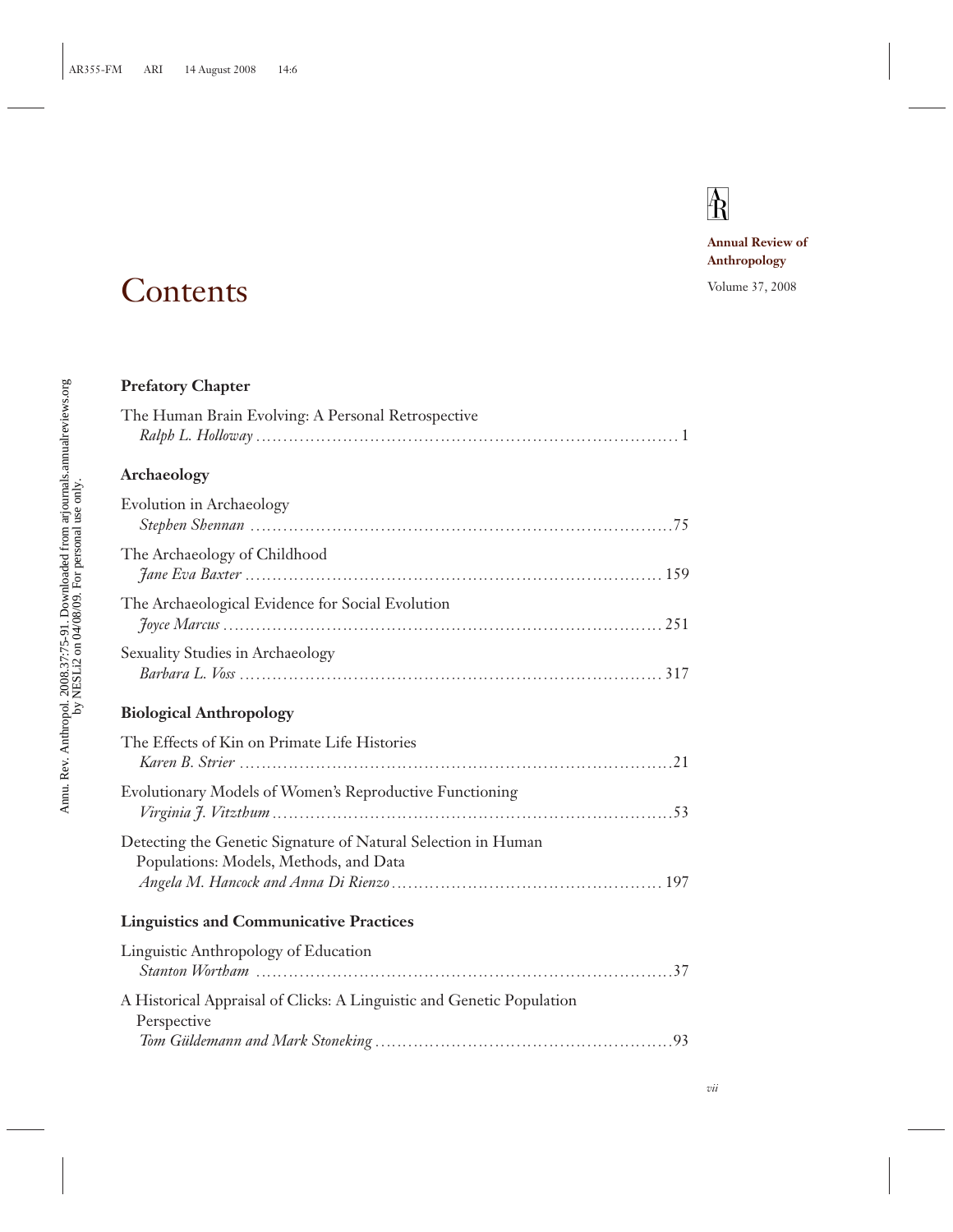## $\mathbf{\hat{R}}$

**Annual Review of Anthropology**

## Contents Volume 37, 2008

# Annu. Rev. Anthropol. 2008.37:75-91. Downloaded from arjournals.amualreviews.org<br>by NESLi2 on 04/08/09. For personal use only. Annu. Rev. Anthropol. 2008.37:75-91. Downloaded from arjournals.annualreviews.org by NESLi2 on 04/08/09. For personal use only.

### **Prefatory Chapter**

| The Human Brain Evolving: A Personal Retrospective                                                      |  |
|---------------------------------------------------------------------------------------------------------|--|
| Archaeology                                                                                             |  |
| Evolution in Archaeology                                                                                |  |
| The Archaeology of Childhood                                                                            |  |
| The Archaeological Evidence for Social Evolution                                                        |  |
| Sexuality Studies in Archaeology                                                                        |  |
| <b>Biological Anthropology</b>                                                                          |  |
| The Effects of Kin on Primate Life Histories                                                            |  |
| Evolutionary Models of Women's Reproductive Functioning                                                 |  |
| Detecting the Genetic Signature of Natural Selection in Human<br>Populations: Models, Methods, and Data |  |
| <b>Linguistics and Communicative Practices</b>                                                          |  |
| Linguistic Anthropology of Education                                                                    |  |
| A Historical Appraisal of Clicks: A Linguistic and Genetic Population<br>Perspective                    |  |